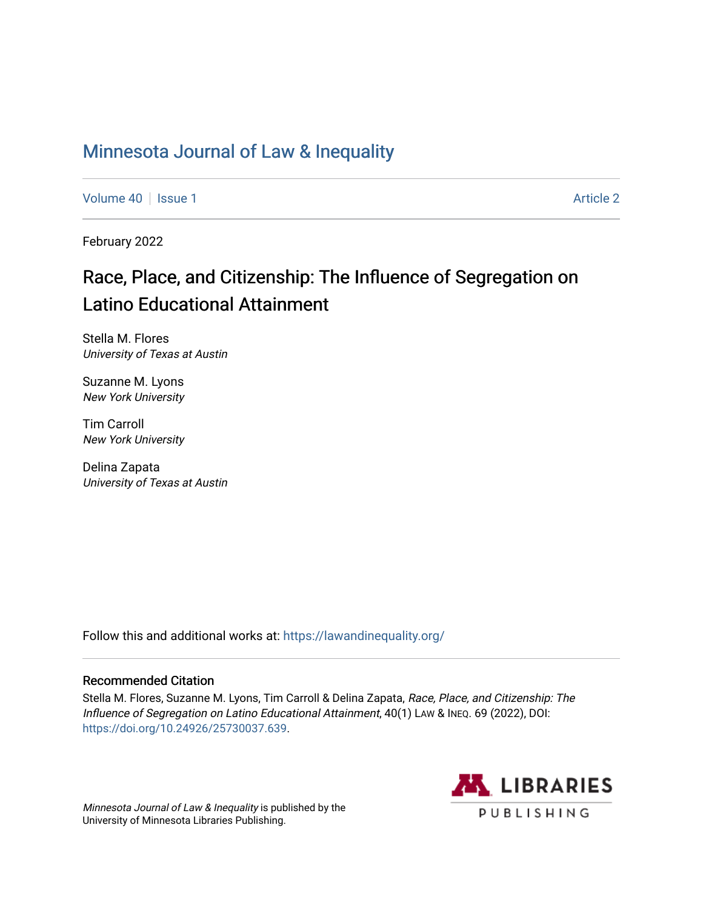# [Minnesota Journal of Law & Inequality](https://scholarship.law.umn.edu/lawineq)

[Volume 40](https://scholarship.law.umn.edu/lawineq/vol40) | [Issue 1](https://scholarship.law.umn.edu/lawineq/vol40/iss1) [Article 2](https://scholarship.law.umn.edu/lawineq/vol40/iss1/2) Article 2 Article 2 Article 2 Article 2 Article 2 Article 2 Article 2 Article 2

February 2022

# Race, Place, and Citizenship: The Influence of Segregation on Latino Educational Attainment

Stella M. Flores University of Texas at Austin

Suzanne M. Lyons New York University

Tim Carroll New York University

Delina Zapata University of Texas at Austin

Follow this and additional works at: <https://lawandinequality.org/>

# Recommended Citation

Stella M. Flores, Suzanne M. Lyons, Tim Carroll & Delina Zapata, Race, Place, and Citizenship: The Influence of Segregation on Latino Educational Attainment, 40(1) LAW & INEQ. 69 (2022), DOI: [https://doi.org/10.24926/25730037.639.](https://doi.org/10.24926/25730037.639)

Minnesota Journal of Law & Inequality is published by the University of Minnesota Libraries Publishing.

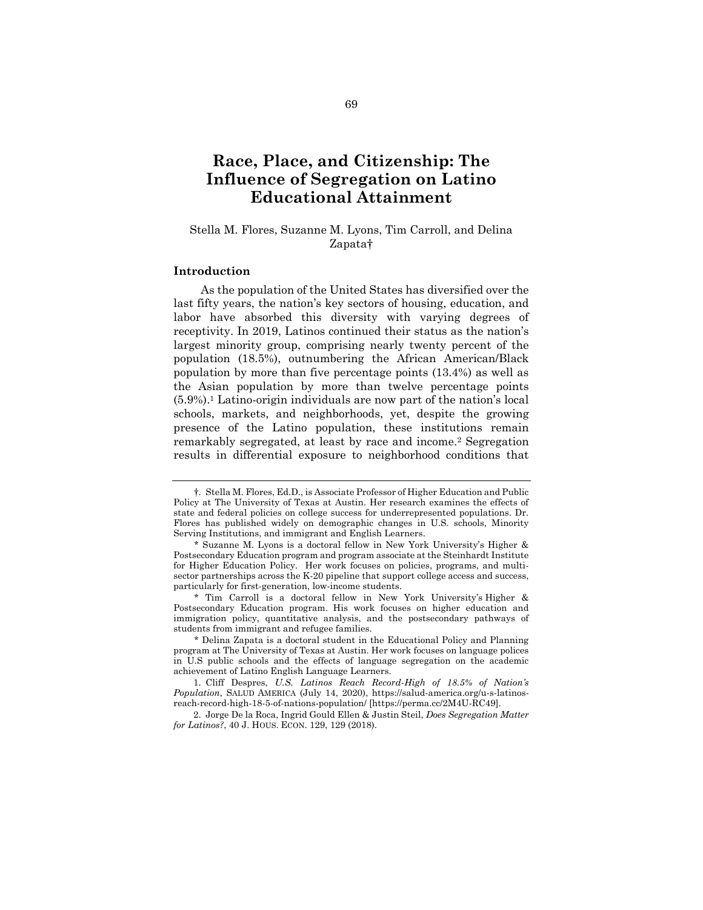# **Race, Place, and Citizenship: The Influence of Segregation on Latino Educational Attainment**

# Stella M. Flores, Suzanne M. Lyons, Tim Carroll, and Delina Zapata†

## **Introduction**

As the population of the United States has diversified over the last fifty years, the nation's key sectors of housing, education, and labor have absorbed this diversity with varying degrees of receptivity. In 2019, Latinos continued their status as the nation's largest minority group, comprising nearly twenty percent of the population (18.5%), outnumbering the African American/Black population by more than five percentage points (13.4%) as well as the Asian population by more than twelve percentage points (5.9%).<sup>1</sup> Latino-origin individuals are now part of the nation's local schools, markets, and neighborhoods, yet, despite the growing presence of the Latino population, these institutions remain remarkably segregated, at least by race and income.<sup>2</sup> Segregation results in differential exposure to neighborhood conditions that

<span id="page-1-0"></span><sup>†</sup>. Stella M. Flores, Ed.D., is Associate Professor of Higher Education and Public Policy at The University of Texas at Austin. Her research examines the effects of state and federal policies on college success for underrepresented populations. Dr. Flores has published widely on demographic changes in U.S. schools, Minority Serving Institutions, and immigrant and English Learners.

<sup>\*</sup> Suzanne M. Lyons is a doctoral fellow in New York University's Higher & Postsecondary Education program and program associate at the Steinhardt Institute for Higher Education Policy. Her work focuses on policies, programs, and multisector partnerships across the K-20 pipeline that support college access and success, particularly for first-generation, low-income students.

<sup>\*</sup> Tim Carroll is a doctoral fellow in New York University's Higher & Postsecondary Education program. His work focuses on higher education and immigration policy, quantitative analysis, and the postsecondary pathways of students from immigrant and refugee families.

<sup>\*</sup> Delina Zapata is a doctoral student in the Educational Policy and Planning program at The University of Texas at Austin. Her work focuses on language polices in U.S public schools and the effects of language segregation on the academic achievement of Latino English Language Learners.

<sup>1.</sup> Cliff Despres, *U.S. Latinos Reach Record-High of 18.5% of Nation's Population*, SALUD AMERICA (July 14, 2020), https://salud-america.org/u-s-latinosreach-record-high-18-5-of-nations-population/ [https://perma.cc/2M4U-RC49].

<sup>2.</sup> Jorge De la Roca, Ingrid Gould Ellen & Justin Steil, *Does Segregation Matter for Latinos?*, 40 J. HOUS. ECON. 129, 129 (2018).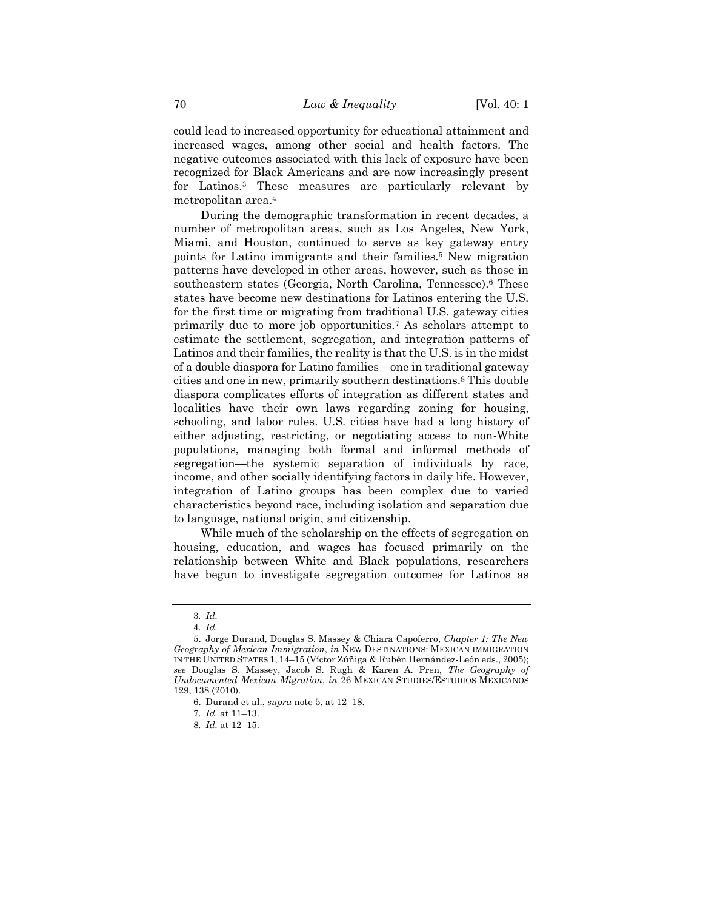could lead to increased opportunity for educational attainment and increased wages, among other social and health factors. The negative outcomes associated with this lack of exposure have been recognized for Black Americans and are now increasingly present for Latinos.<sup>3</sup> These measures are particularly relevant by metropolitan area.<sup>4</sup>

<span id="page-2-0"></span>During the demographic transformation in recent decades, a number of metropolitan areas, such as Los Angeles, New York, Miami, and Houston, continued to serve as key gateway entry points for Latino immigrants and their families.<sup>5</sup> New migration patterns have developed in other areas, however, such as those in southeastern states (Georgia, North Carolina, Tennessee).<sup>6</sup> These states have become new destinations for Latinos entering the U.S. for the first time or migrating from traditional U.S. gateway cities primarily due to more job opportunities.<sup>7</sup> As scholars attempt to estimate the settlement, segregation, and integration patterns of Latinos and their families, the reality is that the U.S. is in the midst of a double diaspora for Latino families—one in traditional gateway cities and one in new, primarily southern destinations.<sup>8</sup> This double diaspora complicates efforts of integration as different states and localities have their own laws regarding zoning for housing, schooling, and labor rules. U.S. cities have had a long history of either adjusting, restricting, or negotiating access to non-White populations, managing both formal and informal methods of segregation—the systemic separation of individuals by race, income, and other socially identifying factors in daily life. However, integration of Latino groups has been complex due to varied characteristics beyond race, including isolation and separation due to language, national origin, and citizenship.

While much of the scholarship on the effects of segregation on housing, education, and wages has focused primarily on the relationship between White and Black populations, researchers have begun to investigate segregation outcomes for Latinos as

<sup>3</sup>*. Id.*

<sup>4</sup>*. Id.*

<sup>5.</sup> Jorge Durand, Douglas S. Massey & Chiara Capoferro, *Chapter 1: The New Geography of Mexican Immigration*, *in* NEW DESTINATIONS: MEXICAN IMMIGRATION IN THE UNITED STATES 1, 14–15 (Víctor Zúñiga & Rubén Hernández-León eds., 2005); *see* Douglas S. Massey, Jacob S. Rugh & Karen A. Pren, *The Geography of Undocumented Mexican Migration*, *in* 26 MEXICAN STUDIES/ESTUDIOS MEXICANOS 129, 138 (2010).

<sup>6.</sup> Durand et al., *supra* not[e 5,](#page-2-0) at 12–18.

<sup>7</sup>*. Id.* at 11–13.

<sup>8</sup>*. Id.* at 12–15.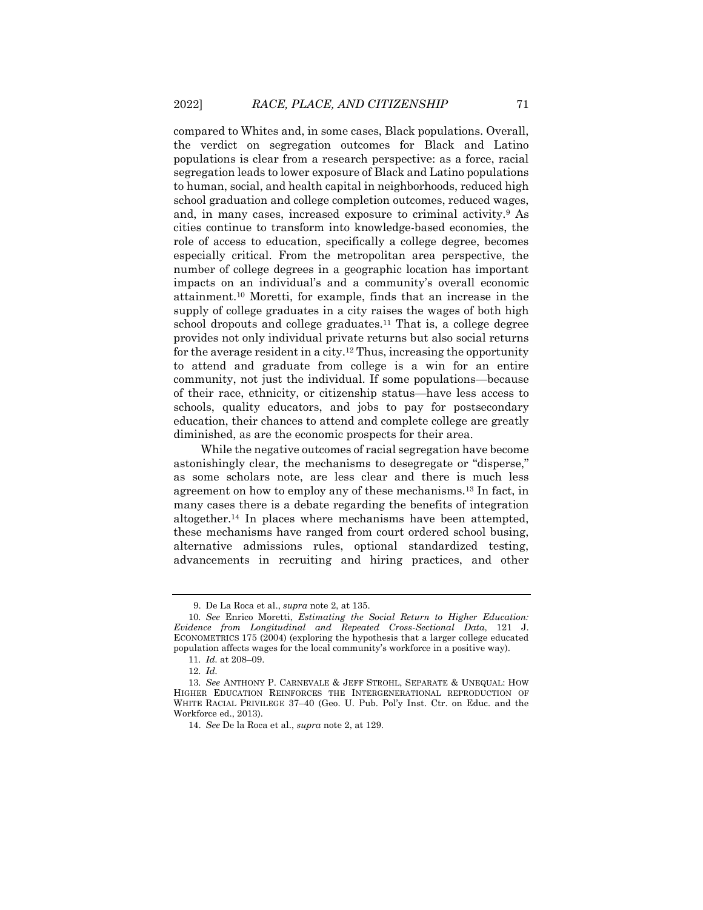compared to Whites and, in some cases, Black populations. Overall, the verdict on segregation outcomes for Black and Latino populations is clear from a research perspective: as a force, racial segregation leads to lower exposure of Black and Latino populations to human, social, and health capital in neighborhoods, reduced high school graduation and college completion outcomes, reduced wages, and, in many cases, increased exposure to criminal activity.<sup>9</sup> As cities continue to transform into knowledge-based economies, the role of access to education, specifically a college degree, becomes especially critical. From the metropolitan area perspective, the number of college degrees in a geographic location has important impacts on an individual's and a community's overall economic attainment.<sup>10</sup> Moretti, for example, finds that an increase in the supply of college graduates in a city raises the wages of both high school dropouts and college graduates.<sup>11</sup> That is, a college degree provides not only individual private returns but also social returns for the average resident in a city.<sup>12</sup> Thus, increasing the opportunity to attend and graduate from college is a win for an entire community, not just the individual. If some populations—because of their race, ethnicity, or citizenship status—have less access to schools, quality educators, and jobs to pay for postsecondary education, their chances to attend and complete college are greatly diminished, as are the economic prospects for their area.

<span id="page-3-1"></span><span id="page-3-0"></span>While the negative outcomes of racial segregation have become astonishingly clear, the mechanisms to desegregate or "disperse," as some scholars note, are less clear and there is much less agreement on how to employ any of these mechanisms.<sup>13</sup> In fact, in many cases there is a debate regarding the benefits of integration altogether.<sup>14</sup> In places where mechanisms have been attempted, these mechanisms have ranged from court ordered school busing, alternative admissions rules, optional standardized testing, advancements in recruiting and hiring practices, and other

<sup>9.</sup> De La Roca et al., *supra* not[e 2,](#page-1-0) at 135.

<sup>10</sup>*. See* Enrico Moretti, *Estimating the Social Return to Higher Education: Evidence from Longitudinal and Repeated Cross-Sectional Data*, 121 J. ECONOMETRICS 175 (2004) (exploring the hypothesis that a larger college educated population affects wages for the local community's workforce in a positive way).

<sup>11</sup>*. Id.* at 208–09.

<sup>12</sup>*. Id.*

<sup>13</sup>*. See* ANTHONY P. CARNEVALE & JEFF STROHL, SEPARATE & UNEQUAL: HOW HIGHER EDUCATION REINFORCES THE INTERGENERATIONAL REPRODUCTION OF WHITE RACIAL PRIVILEGE 37–40 (Geo. U. Pub. Pol'y Inst. Ctr. on Educ. and the Workforce ed., 2013).

<sup>14.</sup> *See* De la Roca et al., *supra* note [2,](#page-1-0) at 129.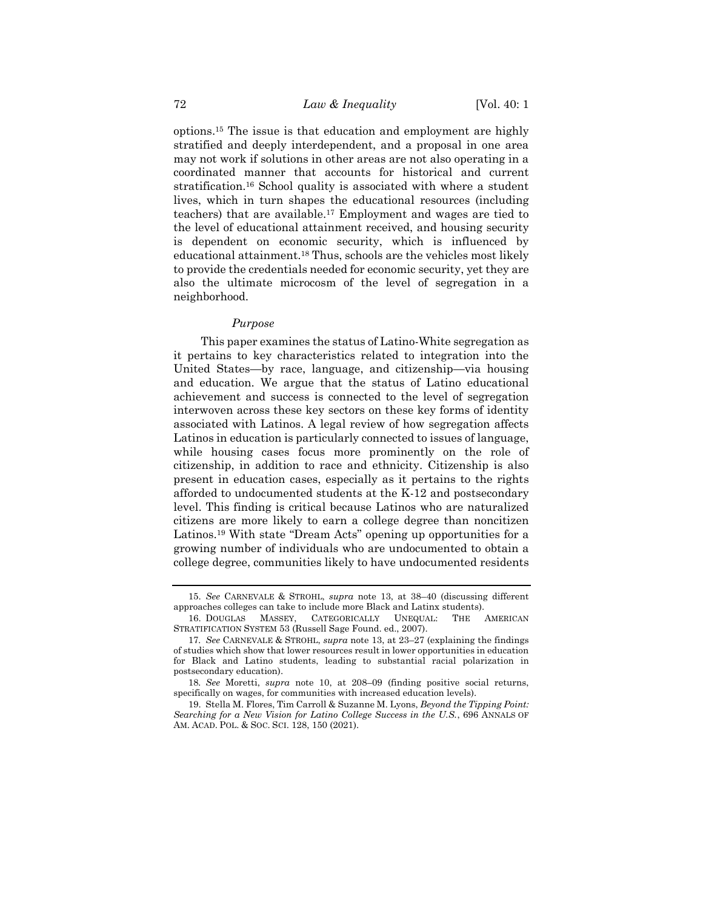<span id="page-4-0"></span>options.<sup>15</sup> The issue is that education and employment are highly stratified and deeply interdependent, and a proposal in one area may not work if solutions in other areas are not also operating in a coordinated manner that accounts for historical and current stratification.<sup>16</sup> School quality is associated with where a student lives, which in turn shapes the educational resources (including teachers) that are available. <sup>17</sup> Employment and wages are tied to the level of educational attainment received, and housing security is dependent on economic security, which is influenced by educational attainment.<sup>18</sup> Thus, schools are the vehicles most likely to provide the credentials needed for economic security, yet they are also the ultimate microcosm of the level of segregation in a neighborhood.

#### *Purpose*

This paper examines the status of Latino-White segregation as it pertains to key characteristics related to integration into the United States—by race, language, and citizenship—via housing and education. We argue that the status of Latino educational achievement and success is connected to the level of segregation interwoven across these key sectors on these key forms of identity associated with Latinos. A legal review of how segregation affects Latinos in education is particularly connected to issues of language, while housing cases focus more prominently on the role of citizenship, in addition to race and ethnicity. Citizenship is also present in education cases, especially as it pertains to the rights afforded to undocumented students at the K-12 and postsecondary level. This finding is critical because Latinos who are naturalized citizens are more likely to earn a college degree than noncitizen Latinos.<sup>19</sup> With state "Dream Acts" opening up opportunities for a growing number of individuals who are undocumented to obtain a college degree, communities likely to have undocumented residents

<span id="page-4-1"></span><sup>15.</sup> *See* CARNEVALE & STROHL, *supra* note [13,](#page-3-0) at 38–40 (discussing different approaches colleges can take to include more Black and Latinx students).

<sup>16.</sup> DOUGLAS MASSEY, CATEGORICALLY UNEQUAL: THE AMERICAN STRATIFICATION SYSTEM 53 (Russell Sage Found. ed., 2007).

<sup>17</sup>*. See* CARNEVALE & STROHL, *supra* note [13,](#page-3-0) at 23–27 (explaining the findings of studies which show that lower resources result in lower opportunities in education for Black and Latino students, leading to substantial racial polarization in postsecondary education).

<sup>18</sup>*. See* Moretti, *supra* note [10,](#page-3-1) at 208–09 (finding positive social returns, specifically on wages, for communities with increased education levels).

<sup>19.</sup> Stella M. Flores, Tim Carroll & Suzanne M. Lyons, *Beyond the Tipping Point: Searching for a New Vision for Latino College Success in the U.S.*, 696 ANNALS OF AM. ACAD. POL. & SOC. SCI. 128, 150 (2021).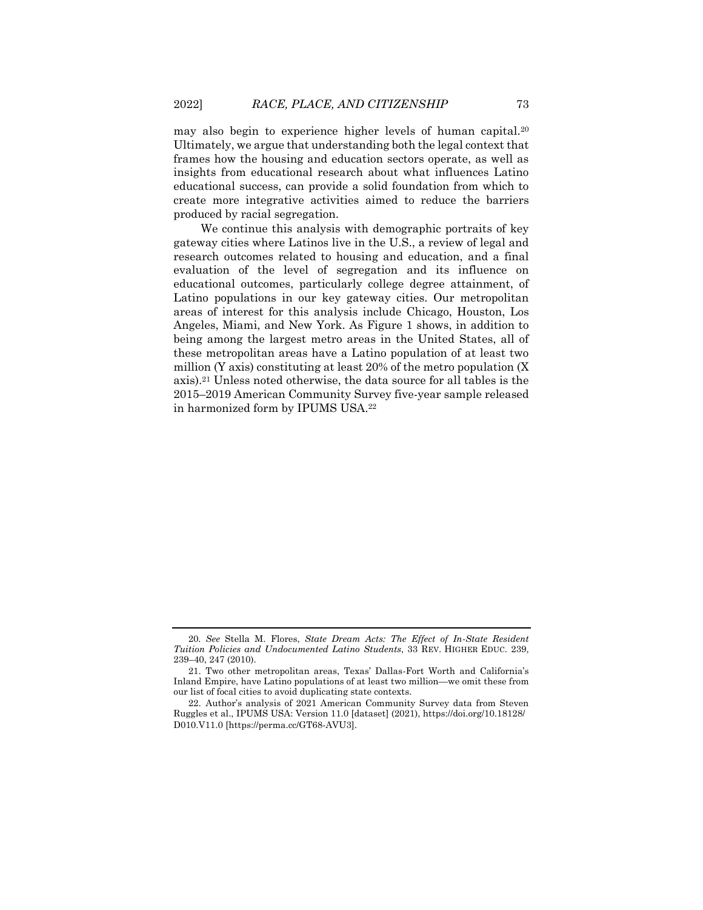may also begin to experience higher levels of human capital.<sup>20</sup> Ultimately, we argue that understanding both the legal context that frames how the housing and education sectors operate, as well as insights from educational research about what influences Latino educational success, can provide a solid foundation from which to create more integrative activities aimed to reduce the barriers produced by racial segregation.

<span id="page-5-0"></span>We continue this analysis with demographic portraits of key gateway cities where Latinos live in the U.S., a review of legal and research outcomes related to housing and education, and a final evaluation of the level of segregation and its influence on educational outcomes, particularly college degree attainment, of Latino populations in our key gateway cities. Our metropolitan areas of interest for this analysis include Chicago, Houston, Los Angeles, Miami, and New York. As Figure 1 shows, in addition to being among the largest metro areas in the United States, all of these metropolitan areas have a Latino population of at least two million (Y axis) constituting at least 20% of the metro population (X axis).<sup>21</sup> Unless noted otherwise, the data source for all tables is the 2015–2019 American Community Survey five-year sample released in harmonized form by IPUMS USA.<sup>22</sup>

<sup>20</sup>*. See* Stella M. Flores, *State Dream Acts: The Effect of In-State Resident Tuition Policies and Undocumented Latino Students*, 33 REV. HIGHER EDUC. 239, 239–40, 247 (2010).

<sup>21.</sup> Two other metropolitan areas, Texas' Dallas-Fort Worth and California's Inland Empire, have Latino populations of at least two million—we omit these from our list of focal cities to avoid duplicating state contexts.

<sup>22.</sup> Author's analysis of 2021 American Community Survey data from Steven Ruggles et al., IPUMS USA: Version 11.0 [dataset] (2021), https://doi.org/10.18128/ D010.V11.0 [https://perma.cc/GT68-AVU3].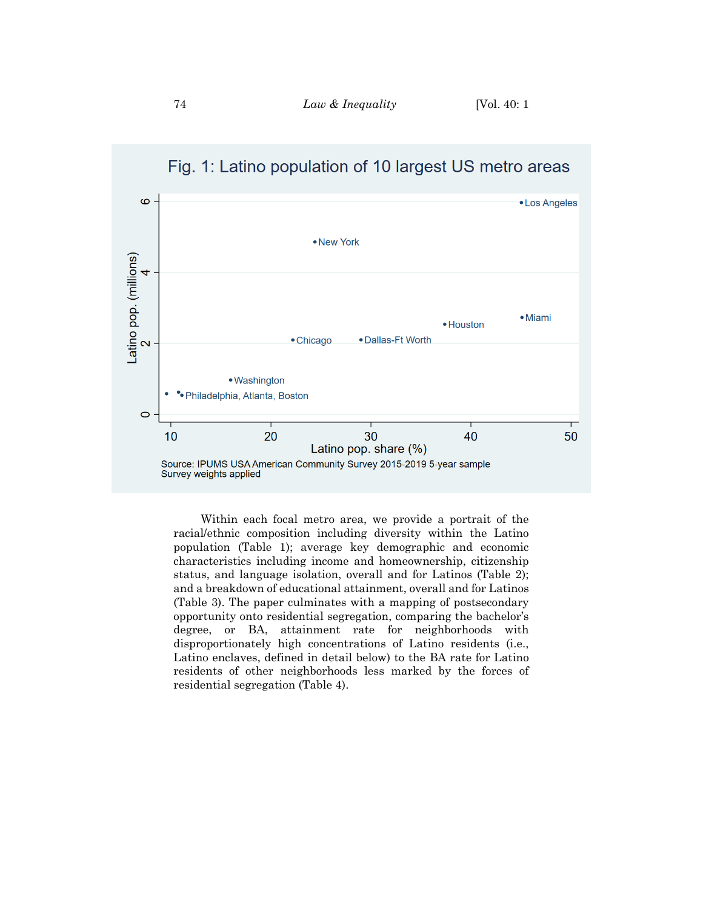

Fig. 1: Latino population of 10 largest US metro areas

Within each focal metro area, we provide a portrait of the racial/ethnic composition including diversity within the Latino population (Table 1); average key demographic and economic characteristics including income and homeownership, citizenship status, and language isolation, overall and for Latinos (Table 2); and a breakdown of educational attainment, overall and for Latinos (Table 3). The paper culminates with a mapping of postsecondary opportunity onto residential segregation, comparing the bachelor's degree, or BA, attainment rate for neighborhoods with disproportionately high concentrations of Latino residents (i.e., Latino enclaves, defined in detail below) to the BA rate for Latino residents of other neighborhoods less marked by the forces of residential segregation (Table 4).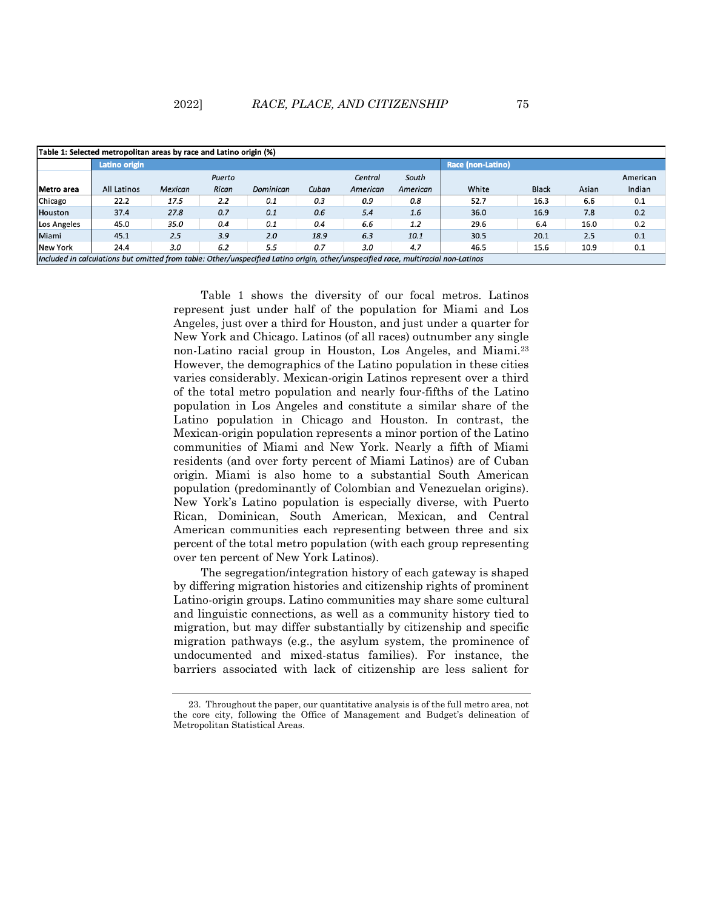| Table 1: Selected metropolitan areas by race and Latino origin (%)                                                                |                    |                |        |           |       |          |          |                   |              |       |          |
|-----------------------------------------------------------------------------------------------------------------------------------|--------------------|----------------|--------|-----------|-------|----------|----------|-------------------|--------------|-------|----------|
|                                                                                                                                   | Latino origin      |                |        |           |       |          |          | Race (non-Latino) |              |       |          |
|                                                                                                                                   |                    |                | Puerto |           |       | Central  | South    |                   |              |       | American |
| Metro area                                                                                                                        | <b>All Latinos</b> | <b>Mexican</b> | Rican  | Dominican | Cuban | American | American | White             | <b>Black</b> | Asian | Indian   |
| Chicago                                                                                                                           | 22.2               | 17.5           | 2.2    | 0.1       | 0.3   | 0.9      | 0.8      | 52.7              | 16.3         | 6.6   | 0.1      |
| <b>Houston</b>                                                                                                                    | 37.4               | 27.8           | 0.7    | 0.1       | 0.6   | 5.4      | 1.6      | 36.0              | 16.9         | 7.8   | 0.2      |
| Los Angeles                                                                                                                       | 45.0               | 35.0           | 0.4    | 0.1       | 0.4   | 6.6      | 1.2      | 29.6              | 6.4          | 16.0  | 0.2      |
| Miami                                                                                                                             | 45.1               | 2.5            | 3.9    | 2.0       | 18.9  | 6.3      | 10.1     | 30.5              | 20.1         | 2.5   | 0.1      |
| New York                                                                                                                          | 24.4               | 3.0            | 6.2    | 5.5       | 0.7   | 3.0      | 4.7      | 46.5              | 15.6         | 10.9  | 0.1      |
| Included in calculations but omitted from table: Other/unspecified Latino oriain, other/unspecified race, multiracial non-Latinos |                    |                |        |           |       |          |          |                   |              |       |          |

Table 1 shows the diversity of our focal metros. Latinos represent just under half of the population for Miami and Los Angeles, just over a third for Houston, and just under a quarter for New York and Chicago. Latinos (of all races) outnumber any single non-Latino racial group in Houston, Los Angeles, and Miami.<sup>23</sup> However, the demographics of the Latino population in these cities varies considerably. Mexican-origin Latinos represent over a third of the total metro population and nearly four-fifths of the Latino population in Los Angeles and constitute a similar share of the Latino population in Chicago and Houston. In contrast, the Mexican-origin population represents a minor portion of the Latino communities of Miami and New York. Nearly a fifth of Miami residents (and over forty percent of Miami Latinos) are of Cuban origin. Miami is also home to a substantial South American population (predominantly of Colombian and Venezuelan origins). New York's Latino population is especially diverse, with Puerto Rican, Dominican, South American, Mexican, and Central American communities each representing between three and six percent of the total metro population (with each group representing over ten percent of New York Latinos).

The segregation/integration history of each gateway is shaped by differing migration histories and citizenship rights of prominent Latino-origin groups. Latino communities may share some cultural and linguistic connections, as well as a community history tied to migration, but may differ substantially by citizenship and specific migration pathways (e.g., the asylum system, the prominence of undocumented and mixed-status families). For instance, the barriers associated with lack of citizenship are less salient for

<sup>23.</sup> Throughout the paper, our quantitative analysis is of the full metro area, not the core city, following the Office of Management and Budget's delineation of Metropolitan Statistical Areas.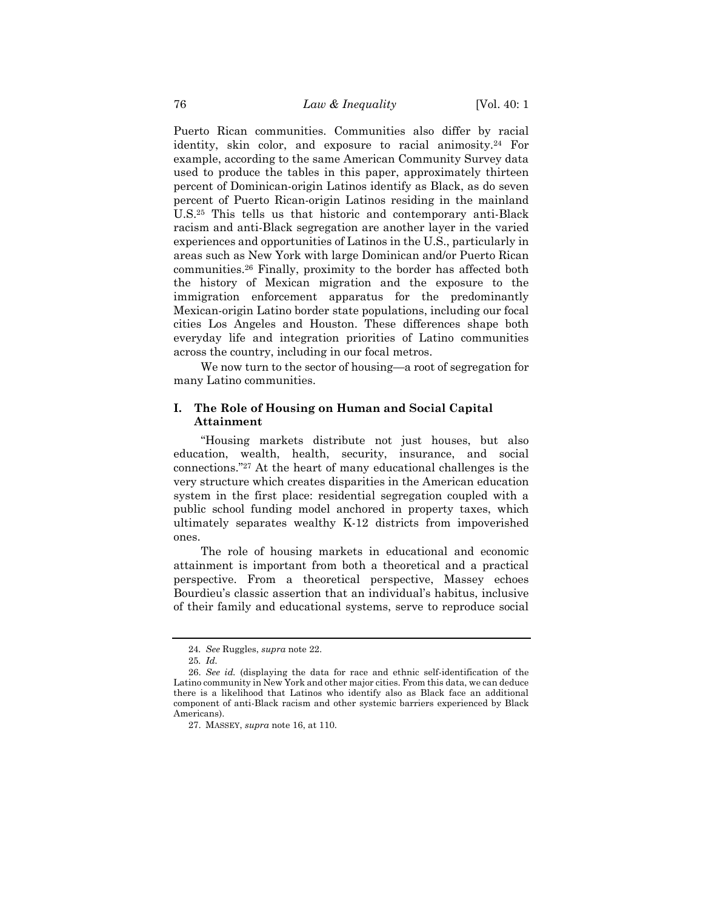Puerto Rican communities. Communities also differ by racial identity, skin color, and exposure to racial animosity.<sup>24</sup> For example, according to the same American Community Survey data used to produce the tables in this paper, approximately thirteen percent of Dominican-origin Latinos identify as Black, as do seven percent of Puerto Rican-origin Latinos residing in the mainland U.S.<sup>25</sup> This tells us that historic and contemporary anti-Black racism and anti-Black segregation are another layer in the varied experiences and opportunities of Latinos in the U.S., particularly in areas such as New York with large Dominican and/or Puerto Rican communities.<sup>26</sup> Finally, proximity to the border has affected both the history of Mexican migration and the exposure to the immigration enforcement apparatus for the predominantly Mexican-origin Latino border state populations, including our focal cities Los Angeles and Houston. These differences shape both everyday life and integration priorities of Latino communities across the country, including in our focal metros.

We now turn to the sector of housing—a root of segregation for many Latino communities.

# **I. The Role of Housing on Human and Social Capital Attainment**

"Housing markets distribute not just houses, but also education, wealth, health, security, insurance, and social connections."<sup>27</sup> At the heart of many educational challenges is the very structure which creates disparities in the American education system in the first place: residential segregation coupled with a public school funding model anchored in property taxes, which ultimately separates wealthy K-12 districts from impoverished ones.

The role of housing markets in educational and economic attainment is important from both a theoretical and a practical perspective. From a theoretical perspective, Massey echoes Bourdieu's classic assertion that an individual's habitus, inclusive of their family and educational systems, serve to reproduce social

<sup>24</sup>*. See* Ruggles, *supra* not[e 22.](#page-5-0)

<sup>25</sup>*. Id.*

<sup>26.</sup> *See id.* (displaying the data for race and ethnic self-identification of the Latino community in New York and other major cities. From this data, we can deduce there is a likelihood that Latinos who identify also as Black face an additional component of anti-Black racism and other systemic barriers experienced by Black Americans).

<sup>27.</sup> MASSEY, *supra* note [16,](#page-4-0) at 110.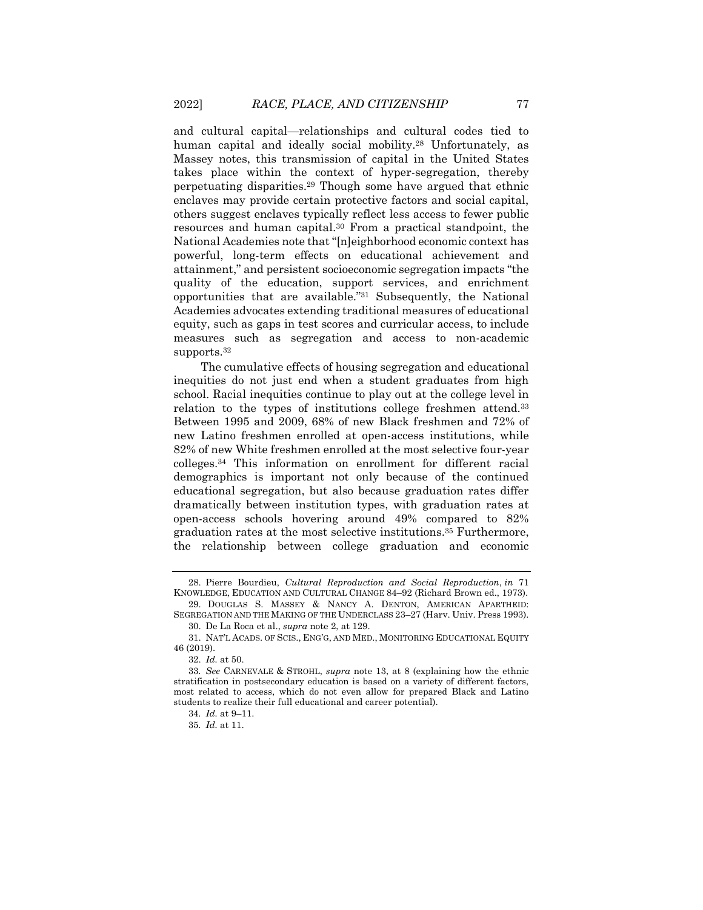and cultural capital—relationships and cultural codes tied to human capital and ideally social mobility.<sup>28</sup> Unfortunately, as Massey notes, this transmission of capital in the United States takes place within the context of hyper-segregation, thereby perpetuating disparities.<sup>29</sup> Though some have argued that ethnic enclaves may provide certain protective factors and social capital, others suggest enclaves typically reflect less access to fewer public resources and human capital.<sup>30</sup> From a practical standpoint, the National Academies note that "[n]eighborhood economic context has powerful, long-term effects on educational achievement and attainment," and persistent socioeconomic segregation impacts "the quality of the education, support services, and enrichment opportunities that are available." <sup>31</sup> Subsequently, the National Academies advocates extending traditional measures of educational equity, such as gaps in test scores and curricular access, to include measures such as segregation and access to non-academic supports.<sup>32</sup>

The cumulative effects of housing segregation and educational inequities do not just end when a student graduates from high school. Racial inequities continue to play out at the college level in relation to the types of institutions college freshmen attend.<sup>33</sup> Between 1995 and 2009, 68% of new Black freshmen and 72% of new Latino freshmen enrolled at open-access institutions, while 82% of new White freshmen enrolled at the most selective four-year colleges.<sup>34</sup> This information on enrollment for different racial demographics is important not only because of the continued educational segregation, but also because graduation rates differ dramatically between institution types, with graduation rates at open-access schools hovering around 49% compared to 82% graduation rates at the most selective institutions.<sup>35</sup> Furthermore, the relationship between college graduation and economic

<span id="page-9-0"></span>

<sup>28.</sup> Pierre Bourdieu, *Cultural Reproduction and Social Reproduction*, *in* 71 KNOWLEDGE, EDUCATION AND CULTURAL CHANGE 84–92 (Richard Brown ed., 1973).

<sup>29.</sup> DOUGLAS S. MASSEY & NANCY A. DENTON, AMERICAN APARTHEID: SEGREGATION AND THE MAKING OF THE UNDERCLASS 23–27 (Harv. Univ. Press 1993).

<sup>30.</sup> De La Roca et al., *supra* not[e 2,](#page-1-0) at 129.

<sup>31.</sup> NAT'L ACADS. OF SCIS., ENG'G, AND MED., MONITORING EDUCATIONAL EQUITY 46 (2019).

<sup>32.</sup> *Id.* at 50.

<sup>33</sup>*. See* CARNEVALE & STROHL, *supra* note [13,](#page-3-0) at 8 (explaining how the ethnic stratification in postsecondary education is based on a variety of different factors, most related to access, which do not even allow for prepared Black and Latino students to realize their full educational and career potential).

<sup>34</sup>*. Id.* at 9–11.

<sup>35</sup>*. Id.* at 11.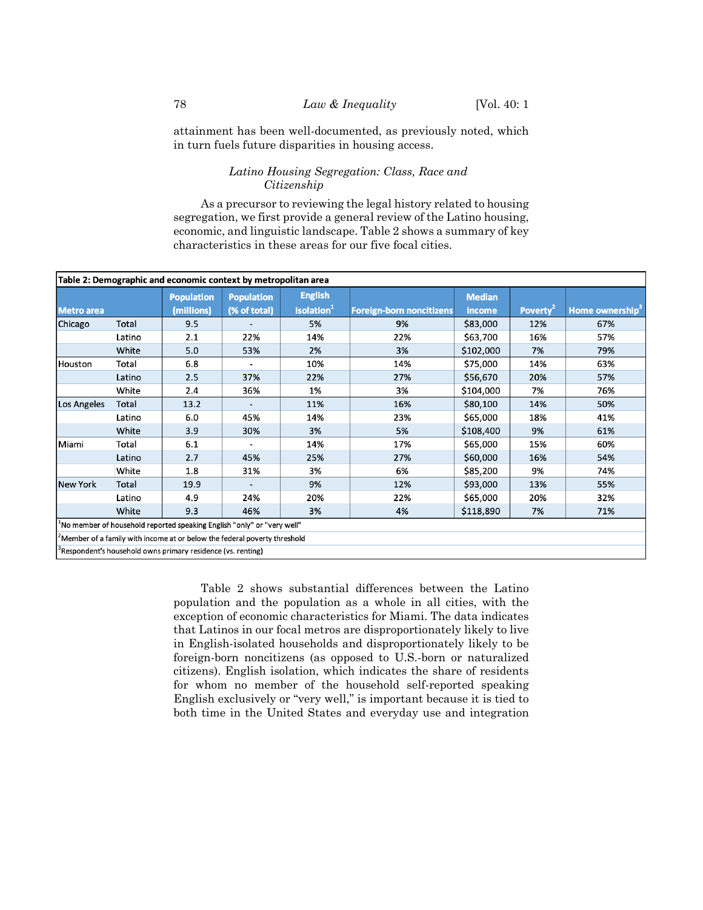attainment has been well-documented, as previously noted, which in turn fuels future disparities in housing access.

# *Latino Housing Segregation: Class, Race and Citizenship*

As a precursor to reviewing the legal history related to housing segregation, we first provide a general review of the Latino housing, economic, and linguistic landscape. Table 2 shows a summary of key characteristics in these areas for our five focal cities.

| Table 2: Demographic and economic context by metropolitan area              |        |                                                                               |                                   |                                          |                                 |                         |                      |                             |
|-----------------------------------------------------------------------------|--------|-------------------------------------------------------------------------------|-----------------------------------|------------------------------------------|---------------------------------|-------------------------|----------------------|-----------------------------|
| <b>Metro</b> area                                                           |        | <b>Population</b><br>(millions)                                               | <b>Population</b><br>(% of total) | <b>English</b><br>isolation <sup>1</sup> | <b>Foreign-born noncitizens</b> | <b>Median</b><br>income | Poverty <sup>2</sup> | Home ownership <sup>3</sup> |
| Chicago                                                                     | Total  | 9.5                                                                           |                                   | 5%                                       | 9%                              | \$83,000                | 12%                  | 67%                         |
|                                                                             | Latino | 2.1                                                                           | 22%                               | 14%                                      | 22%                             | \$63,700                | 16%                  | 57%                         |
|                                                                             | White  | 5.0                                                                           | 53%                               | 2%                                       | 3%                              | \$102,000               | 7%                   | 79%                         |
| Houston                                                                     | Total  | 6.8                                                                           |                                   | 10%                                      | 14%                             | \$75,000                | 14%                  | 63%                         |
|                                                                             | Latino | 2.5                                                                           | 37%                               | 22%                                      | 27%                             | \$56,670                | 20%                  | 57%                         |
|                                                                             | White  | 2.4                                                                           | 36%                               | 1%                                       | 3%                              | \$104,000               | 7%                   | 76%                         |
| Los Angeles                                                                 | Total  | 13.2                                                                          |                                   | 11%                                      | 16%                             | \$80,100                | 14%                  | 50%                         |
|                                                                             | Latino | 6.0                                                                           | 45%                               | 14%                                      | 23%                             | \$65,000                | 18%                  | 41%                         |
|                                                                             | White  | 3.9                                                                           | 30%                               | 3%                                       | 5%                              | \$108,400               | 9%                   | 61%                         |
| Miami                                                                       | Total  | 6.1                                                                           |                                   | 14%                                      | 17%                             | \$65,000                | 15%                  | 60%                         |
|                                                                             | Latino | 2.7                                                                           | 45%                               | 25%                                      | 27%                             | \$60,000                | 16%                  | 54%                         |
|                                                                             | White  | 1.8                                                                           | 31%                               | 3%                                       | 6%                              | \$85,200                | 9%                   | 74%                         |
| <b>New York</b>                                                             | Total  | 19.9                                                                          |                                   | 9%                                       | 12%                             | \$93,000                | 13%                  | 55%                         |
|                                                                             | Latino | 4.9                                                                           | 24%                               | 20%                                      | 22%                             | \$65,000                | 20%                  | 32%                         |
|                                                                             | White  | 9.3                                                                           | 46%                               | 3%                                       | 4%                              | \$118,890               | 7%                   | 71%                         |
| $^1$ No member of household reported speaking English "only" or "very well" |        |                                                                               |                                   |                                          |                                 |                         |                      |                             |
|                                                                             |        | $^2$ Member of a family with income at or below the federal poverty threshold |                                   |                                          |                                 |                         |                      |                             |

<sup>3</sup>Respondent's household owns primary residence (vs. renting)

Table 2 shows substantial differences between the Latino population and the population as a whole in all cities, with the exception of economic characteristics for Miami. The data indicates that Latinos in our focal metros are disproportionately likely to live in English-isolated households and disproportionately likely to be foreign-born noncitizens (as opposed to U.S.-born or naturalized citizens). English isolation, which indicates the share of residents for whom no member of the household self-reported speaking English exclusively or "very well," is important because it is tied to both time in the United States and everyday use and integration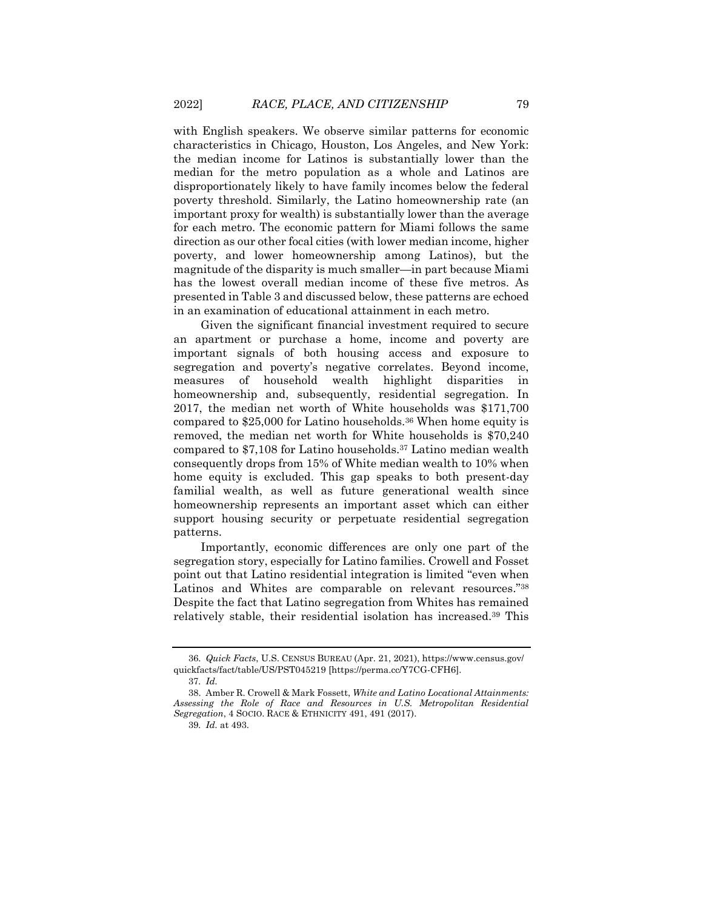with English speakers. We observe similar patterns for economic characteristics in Chicago, Houston, Los Angeles, and New York: the median income for Latinos is substantially lower than the median for the metro population as a whole and Latinos are disproportionately likely to have family incomes below the federal poverty threshold. Similarly, the Latino homeownership rate (an important proxy for wealth) is substantially lower than the average for each metro. The economic pattern for Miami follows the same direction as our other focal cities (with lower median income, higher poverty, and lower homeownership among Latinos), but the magnitude of the disparity is much smaller—in part because Miami has the lowest overall median income of these five metros. As presented in Table 3 and discussed below, these patterns are echoed in an examination of educational attainment in each metro.

Given the significant financial investment required to secure an apartment or purchase a home, income and poverty are important signals of both housing access and exposure to segregation and poverty's negative correlates. Beyond income, measures of household wealth highlight disparities in homeownership and, subsequently, residential segregation. In 2017, the median net worth of White households was \$171,700 compared to \$25,000 for Latino households.<sup>36</sup> When home equity is removed, the median net worth for White households is \$70,240 compared to \$7,108 for Latino households.<sup>37</sup> Latino median wealth consequently drops from 15% of White median wealth to 10% when home equity is excluded. This gap speaks to both present-day familial wealth, as well as future generational wealth since homeownership represents an important asset which can either support housing security or perpetuate residential segregation patterns.

<span id="page-11-0"></span>Importantly, economic differences are only one part of the segregation story, especially for Latino families. Crowell and Fosset point out that Latino residential integration is limited "even when Latinos and Whites are comparable on relevant resources."<sup>38</sup> Despite the fact that Latino segregation from Whites has remained relatively stable, their residential isolation has increased.<sup>39</sup> This

<sup>36</sup>*. Quick Facts*, U.S. CENSUS BUREAU (Apr. 21, 2021), https://www.census.gov/ quickfacts/fact/table/US/PST045219 [https://perma.cc/Y7CG-CFH6].

<sup>37</sup>*. Id.*

<sup>38.</sup> Amber R. Crowell & Mark Fossett, *White and Latino Locational Attainments: Assessing the Role of Race and Resources in U.S. Metropolitan Residential Segregation*, 4 SOCIO. RACE & ETHNICITY 491, 491 (2017).

<sup>39</sup>*. Id.* at 493.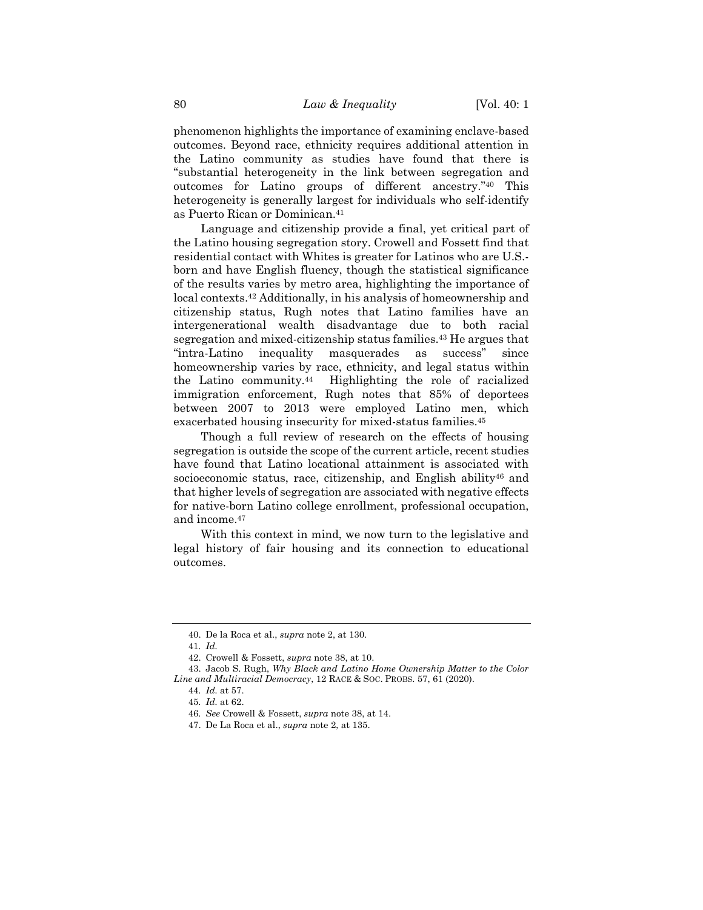phenomenon highlights the importance of examining enclave-based outcomes. Beyond race, ethnicity requires additional attention in the Latino community as studies have found that there is "substantial heterogeneity in the link between segregation and outcomes for Latino groups of different ancestry." <sup>40</sup> This heterogeneity is generally largest for individuals who self-identify as Puerto Rican or Dominican.<sup>41</sup>

Language and citizenship provide a final, yet critical part of the Latino housing segregation story. Crowell and Fossett find that residential contact with Whites is greater for Latinos who are U.S. born and have English fluency, though the statistical significance of the results varies by metro area, highlighting the importance of local contexts.<sup>42</sup> Additionally, in his analysis of homeownership and citizenship status, Rugh notes that Latino families have an intergenerational wealth disadvantage due to both racial segregation and mixed-citizenship status families.<sup>43</sup> He argues that "intra-Latino inequality masquerades as success" since homeownership varies by race, ethnicity, and legal status within the Latino community.44 Highlighting the role of racialized immigration enforcement, Rugh notes that 85% of deportees between 2007 to 2013 were employed Latino men, which exacerbated housing insecurity for mixed-status families.<sup>45</sup>

Though a full review of research on the effects of housing segregation is outside the scope of the current article, recent studies have found that Latino locational attainment is associated with socioeconomic status, race, citizenship, and English ability<sup>46</sup> and that higher levels of segregation are associated with negative effects for native-born Latino college enrollment, professional occupation, and income.<sup>47</sup>

With this context in mind, we now turn to the legislative and legal history of fair housing and its connection to educational outcomes.

<sup>40.</sup> De la Roca et al., *supra* not[e 2,](#page-1-0) at 130.

<sup>41</sup>*. Id.*

<sup>42.</sup> Crowell & Fossett, *supra* note [38,](#page-11-0) at 10.

<sup>43.</sup> Jacob S. Rugh, *Why Black and Latino Home Ownership Matter to the Color Line and Multiracial Democracy*, 12 RACE & SOC. PROBS. 57, 61 (2020).

<sup>44</sup>*. Id.* at 57.

<sup>45</sup>*. Id.* at 62.

<sup>46</sup>*. See* Crowell & Fossett, *supra* not[e 38,](#page-11-0) at 14.

<sup>47.</sup> De La Roca et al., *supra* not[e 2,](#page-1-0) at 135.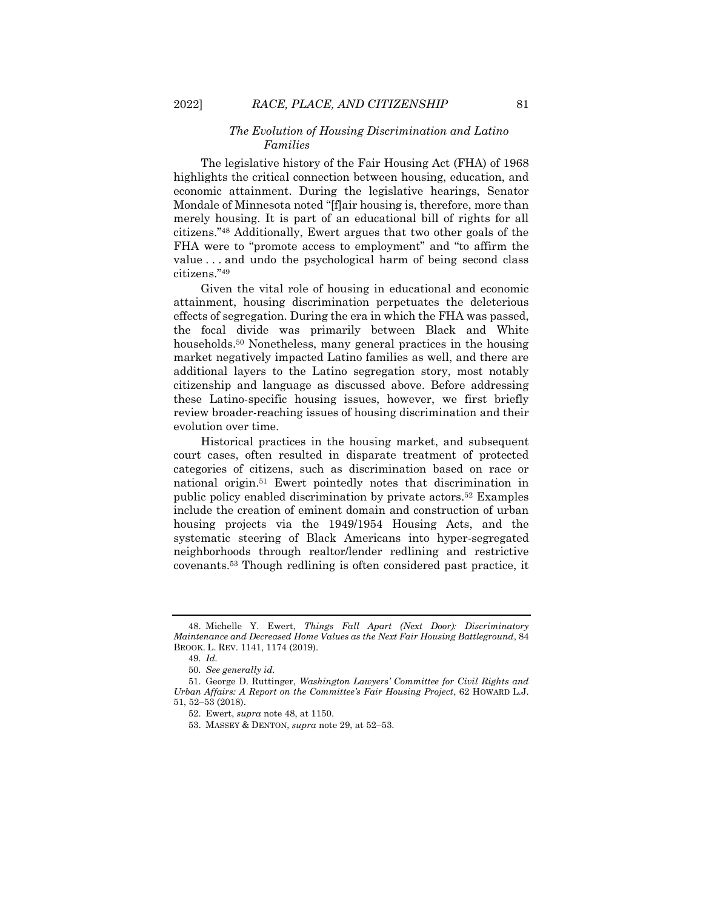# *The Evolution of Housing Discrimination and Latino Families*

The legislative history of the Fair Housing Act (FHA) of 1968 highlights the critical connection between housing, education, and economic attainment. During the legislative hearings, Senator Mondale of Minnesota noted "[f]air housing is, therefore, more than merely housing. It is part of an educational bill of rights for all citizens."<sup>48</sup> Additionally, Ewert argues that two other goals of the FHA were to "promote access to employment" and "to affirm the value . . . and undo the psychological harm of being second class citizens."<sup>49</sup>

<span id="page-13-0"></span>Given the vital role of housing in educational and economic attainment, housing discrimination perpetuates the deleterious effects of segregation. During the era in which the FHA was passed, the focal divide was primarily between Black and White households.<sup>50</sup> Nonetheless, many general practices in the housing market negatively impacted Latino families as well, and there are additional layers to the Latino segregation story, most notably citizenship and language as discussed above. Before addressing these Latino-specific housing issues, however, we first briefly review broader-reaching issues of housing discrimination and their evolution over time.

<span id="page-13-1"></span>Historical practices in the housing market, and subsequent court cases, often resulted in disparate treatment of protected categories of citizens, such as discrimination based on race or national origin.<sup>51</sup> Ewert pointedly notes that discrimination in public policy enabled discrimination by private actors.<sup>52</sup> Examples include the creation of eminent domain and construction of urban housing projects via the 1949/1954 Housing Acts, and the systematic steering of Black Americans into hyper-segregated neighborhoods through realtor/lender redlining and restrictive covenants.<sup>53</sup> Though redlining is often considered past practice, it

<sup>48.</sup> Michelle Y. Ewert, *Things Fall Apart (Next Door): Discriminatory Maintenance and Decreased Home Values as the Next Fair Housing Battleground*, 84 BROOK. L. REV. 1141, 1174 (2019).

<sup>49</sup>*. Id.*

<sup>50</sup>*. See generally id.*

<sup>51.</sup> George D. Ruttinger, *Washington Lawyers' Committee for Civil Rights and Urban Affairs: A Report on the Committee's Fair Housing Project*, 62 HOWARD L.J. 51, 52–53 (2018).

<sup>52.</sup> Ewert, *supra* note [48,](#page-13-0) at 1150.

<sup>53.</sup> MASSEY & DENTON, *supra* note [29,](#page-9-0) at 52–53.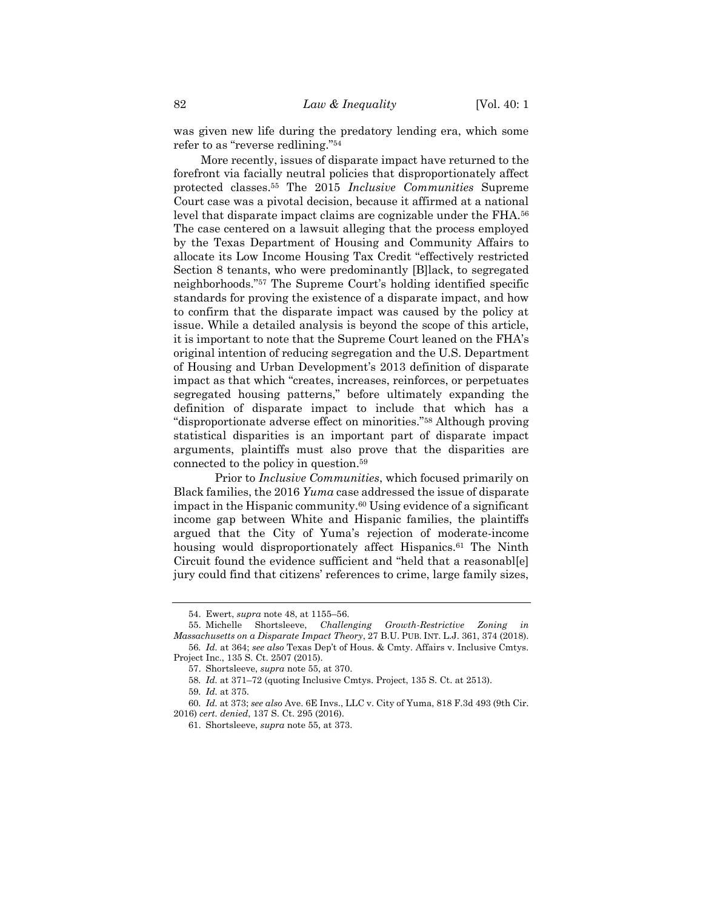was given new life during the predatory lending era, which some refer to as "reverse redlining."<sup>54</sup>

<span id="page-14-0"></span>More recently, issues of disparate impact have returned to the forefront via facially neutral policies that disproportionately affect protected classes.<sup>55</sup> The 2015 *Inclusive Communities* Supreme Court case was a pivotal decision, because it affirmed at a national level that disparate impact claims are cognizable under the FHA.<sup>56</sup> The case centered on a lawsuit alleging that the process employed by the Texas Department of Housing and Community Affairs to allocate its Low Income Housing Tax Credit "effectively restricted Section 8 tenants, who were predominantly [B]lack, to segregated neighborhoods."<sup>57</sup> The Supreme Court's holding identified specific standards for proving the existence of a disparate impact, and how to confirm that the disparate impact was caused by the policy at issue. While a detailed analysis is beyond the scope of this article, it is important to note that the Supreme Court leaned on the FHA's original intention of reducing segregation and the U.S. Department of Housing and Urban Development's 2013 definition of disparate impact as that which "creates, increases, reinforces, or perpetuates segregated housing patterns," before ultimately expanding the definition of disparate impact to include that which has a "disproportionate adverse effect on minorities."<sup>58</sup> Although proving statistical disparities is an important part of disparate impact arguments, plaintiffs must also prove that the disparities are connected to the policy in question.<sup>59</sup>

Prior to *Inclusive Communities*, which focused primarily on Black families, the 2016 *Yuma* case addressed the issue of disparate impact in the Hispanic community.<sup>60</sup> Using evidence of a significant income gap between White and Hispanic families, the plaintiffs argued that the City of Yuma's rejection of moderate-income housing would disproportionately affect Hispanics.<sup>61</sup> The Ninth Circuit found the evidence sufficient and "held that a reasonabl[e] jury could find that citizens' references to crime, large family sizes,

<sup>54.</sup> Ewert, *supra* note [48,](#page-13-0) at 1155–56.

<sup>55.</sup> Michelle Shortsleeve, *Challenging Growth-Restrictive Zoning in Massachusetts on a Disparate Impact Theory*, 27 B.U. PUB. INT. L.J. 361, 374 (2018). 56*. Id.* at 364; *see also* Texas Dep't of Hous. & Cmty. Affairs v. Inclusive Cmtys. Project Inc., 135 S. Ct. 2507 (2015).

<sup>57.</sup> Shortsleeve, *supra* not[e 55,](#page-14-0) at 370.

<sup>58</sup>*. Id.* at 371–72 (quoting Inclusive Cmtys. Project, 135 S. Ct. at 2513).

<sup>59</sup>*. Id.* at 375.

<sup>60</sup>*. Id.* at 373; *see also* Ave. 6E Invs., LLC v. City of Yuma, 818 F.3d 493 (9th Cir. 2016) *cert. denied*, 137 S. Ct. 295 (2016).

<sup>61.</sup> Shortsleeve, *supra* not[e 55,](#page-14-0) at 373.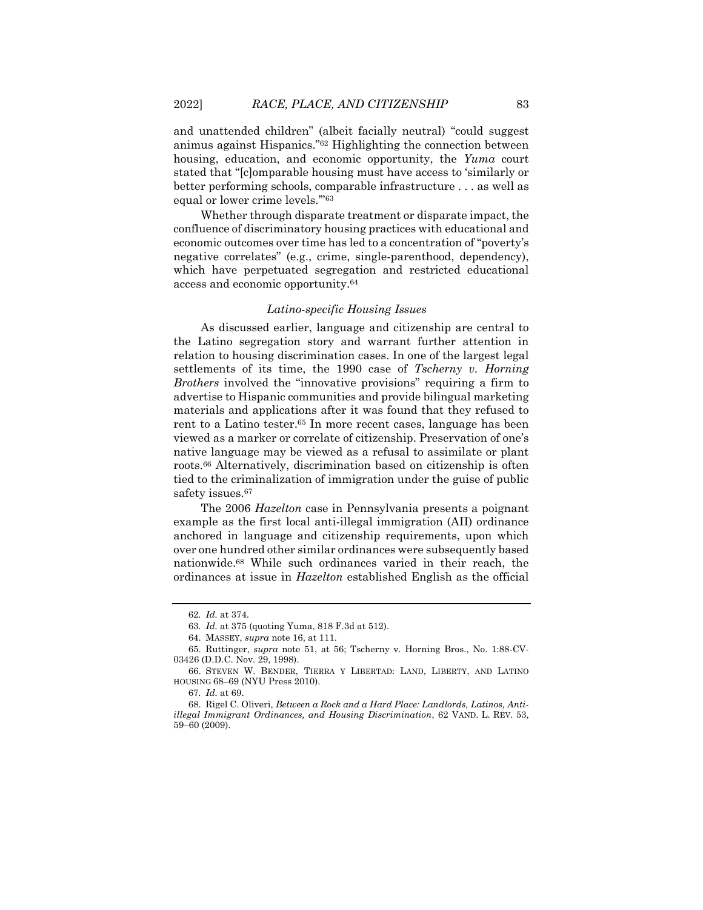and unattended children" (albeit facially neutral) "could suggest animus against Hispanics."<sup>62</sup> Highlighting the connection between housing, education, and economic opportunity, the *Yuma* court stated that "[c]omparable housing must have access to 'similarly or better performing schools, comparable infrastructure . . . as well as equal or lower crime levels.'" 63

Whether through disparate treatment or disparate impact, the confluence of discriminatory housing practices with educational and economic outcomes over time has led to a concentration of "poverty's negative correlates" (e.g., crime, single-parenthood, dependency), which have perpetuated segregation and restricted educational access and economic opportunity.<sup>64</sup>

#### *Latino-specific Housing Issues*

As discussed earlier, language and citizenship are central to the Latino segregation story and warrant further attention in relation to housing discrimination cases. In one of the largest legal settlements of its time, the 1990 case of *Tscherny v. Horning Brothers* involved the "innovative provisions" requiring a firm to advertise to Hispanic communities and provide bilingual marketing materials and applications after it was found that they refused to rent to a Latino tester.<sup>65</sup> In more recent cases, language has been viewed as a marker or correlate of citizenship. Preservation of one's native language may be viewed as a refusal to assimilate or plant roots.<sup>66</sup> Alternatively, discrimination based on citizenship is often tied to the criminalization of immigration under the guise of public safety issues.<sup>67</sup>

<span id="page-15-0"></span>The 2006 *Hazelton* case in Pennsylvania presents a poignant example as the first local anti-illegal immigration (AII) ordinance anchored in language and citizenship requirements, upon which over one hundred other similar ordinances were subsequently based nationwide.<sup>68</sup> While such ordinances varied in their reach, the ordinances at issue in *Hazelton* established English as the official

<sup>62</sup>*. Id.* at 374.

<sup>63</sup>*. Id.* at 375 (quoting Yuma, 818 F.3d at 512).

<sup>64.</sup> MASSEY, *supra* note [16,](#page-4-0) at 111.

<sup>65.</sup> Ruttinger, *supra* note [51,](#page-13-1) at 56; Tscherny v. Horning Bros., No. 1:88-CV-03426 (D.D.C. Nov. 29, 1998).

<sup>66.</sup> STEVEN W. BENDER, TIERRA Y LIBERTAD: LAND, LIBERTY, AND LATINO HOUSING 68–69 (NYU Press 2010).

<sup>67</sup>*. Id.* at 69.

<sup>68.</sup> Rigel C. Oliveri, *Between a Rock and a Hard Place: Landlords, Latinos, Antiillegal Immigrant Ordinances, and Housing Discrimination*, 62 VAND. L. REV. 53, 59–60 (2009).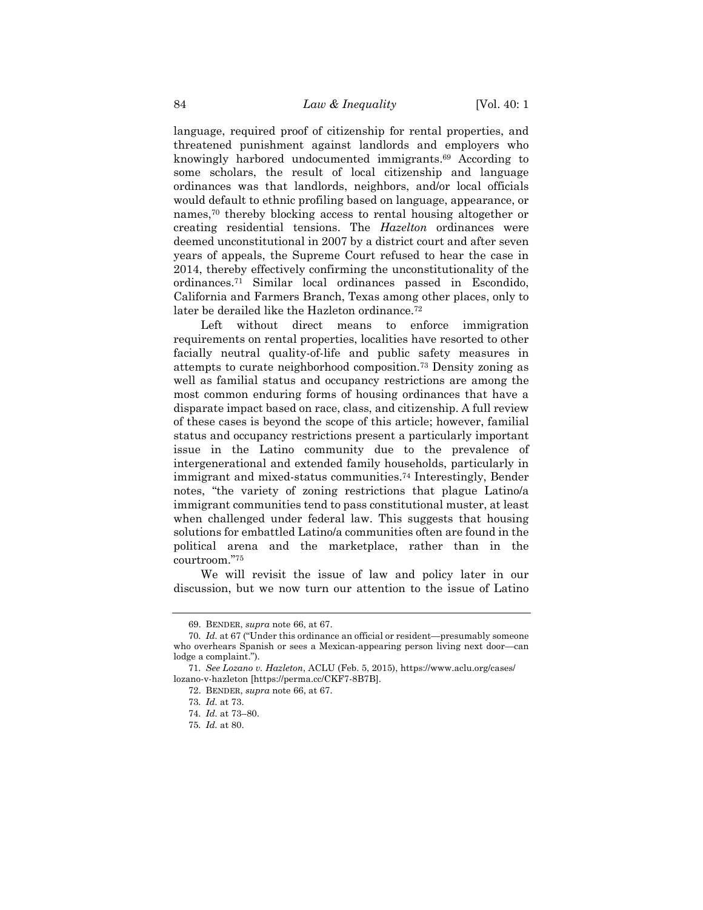language, required proof of citizenship for rental properties, and threatened punishment against landlords and employers who knowingly harbored undocumented immigrants.<sup>69</sup> According to some scholars, the result of local citizenship and language ordinances was that landlords, neighbors, and/or local officials would default to ethnic profiling based on language, appearance, or names,<sup>70</sup> thereby blocking access to rental housing altogether or creating residential tensions. The *Hazelton* ordinances were deemed unconstitutional in 2007 by a district court and after seven years of appeals, the Supreme Court refused to hear the case in 2014, thereby effectively confirming the unconstitutionality of the ordinances.<sup>71</sup> Similar local ordinances passed in Escondido, California and Farmers Branch, Texas among other places, only to later be derailed like the Hazleton ordinance.<sup>72</sup>

Left without direct means to enforce immigration requirements on rental properties, localities have resorted to other facially neutral quality-of-life and public safety measures in attempts to curate neighborhood composition.<sup>73</sup> Density zoning as well as familial status and occupancy restrictions are among the most common enduring forms of housing ordinances that have a disparate impact based on race, class, and citizenship. A full review of these cases is beyond the scope of this article; however, familial status and occupancy restrictions present a particularly important issue in the Latino community due to the prevalence of intergenerational and extended family households, particularly in immigrant and mixed-status communities.<sup>74</sup> Interestingly, Bender notes, "the variety of zoning restrictions that plague Latino/a immigrant communities tend to pass constitutional muster, at least when challenged under federal law. This suggests that housing solutions for embattled Latino/a communities often are found in the political arena and the marketplace, rather than in the courtroom."<sup>75</sup>

We will revisit the issue of law and policy later in our discussion, but we now turn our attention to the issue of Latino

<sup>69.</sup> BENDER, *supra* not[e 66,](#page-15-0) at 67.

<sup>70</sup>*. Id.* at 67 ("Under this ordinance an official or resident—presumably someone who overhears Spanish or sees a Mexican-appearing person living next door—can lodge a complaint.").

<sup>71</sup>*. See Lozano v. Hazleton*, ACLU (Feb. 5, 2015), https://www.aclu.org/cases/ lozano-v-hazleton [https://perma.cc/CKF7-8B7B].

<sup>72.</sup> BENDER, *supra* not[e 66,](#page-15-0) at 67.

<sup>73</sup>*. Id.* at 73.

<sup>74</sup>*. Id.* at 73–80.

<sup>75</sup>*. Id.* at 80.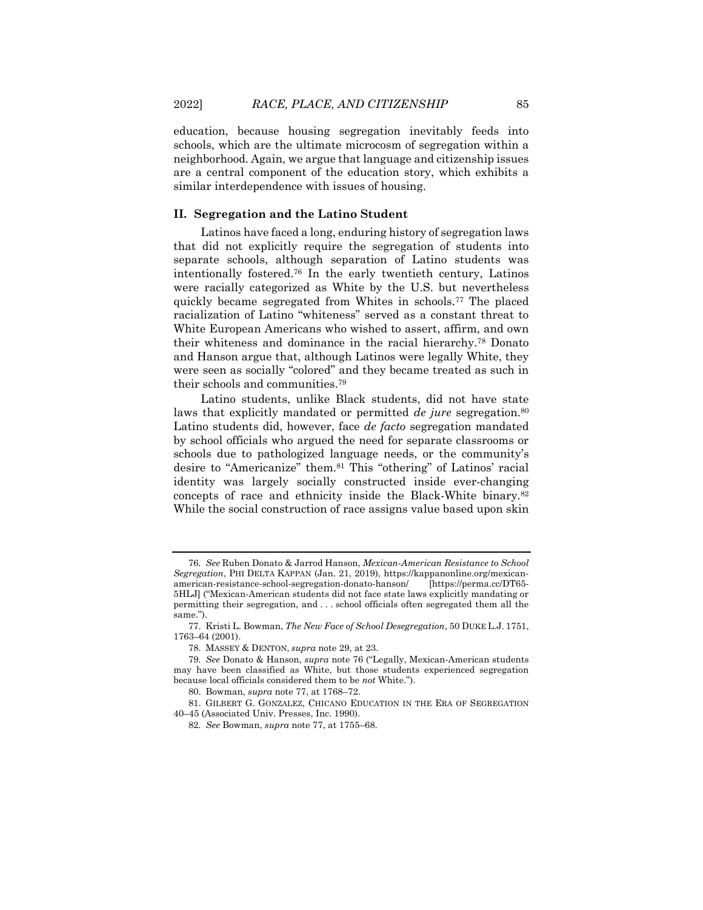education, because housing segregation inevitably feeds into schools, which are the ultimate microcosm of segregation within a neighborhood. Again, we argue that language and citizenship issues are a central component of the education story, which exhibits a similar interdependence with issues of housing.

## **II. Segregation and the Latino Student**

<span id="page-17-1"></span><span id="page-17-0"></span>Latinos have faced a long, enduring history of segregation laws that did not explicitly require the segregation of students into separate schools, although separation of Latino students was intentionally fostered.<sup>76</sup> In the early twentieth century, Latinos were racially categorized as White by the U.S. but nevertheless quickly became segregated from Whites in schools.<sup>77</sup> The placed racialization of Latino "whiteness" served as a constant threat to White European Americans who wished to assert, affirm, and own their whiteness and dominance in the racial hierarchy.<sup>78</sup> Donato and Hanson argue that, although Latinos were legally White, they were seen as socially "colored" and they became treated as such in their schools and communities.<sup>79</sup>

Latino students, unlike Black students, did not have state laws that explicitly mandated or permitted *de jure* segregation.<sup>80</sup> Latino students did, however, face *de facto* segregation mandated by school officials who argued the need for separate classrooms or schools due to pathologized language needs, or the community's desire to "Americanize" them.<sup>81</sup> This "othering" of Latinos' racial identity was largely socially constructed inside ever-changing concepts of race and ethnicity inside the Black-White binary.<sup>82</sup> While the social construction of race assigns value based upon skin

<sup>76</sup>*. See* Ruben Donato & Jarrod Hanson, *Mexican-American Resistance to School Segregation*, PHI DELTA KAPPAN (Jan. 21, 2019), https://kappanonline.org/mexicanamerican-resistance-school-segregation-donato-hanson/ 5HLJ] ("Mexican-American students did not face state laws explicitly mandating or permitting their segregation, and . . . school officials often segregated them all the same.").

<sup>77.</sup> Kristi L. Bowman, *The New Face of School Desegregation*, 50 DUKE L.J. 1751, 1763–64 (2001).

<sup>78.</sup> MASSEY & DENTON, *supra* not[e 29,](#page-9-0) at 23.

<sup>79</sup>*. See* Donato & Hanson, *supra* not[e 76](#page-17-0) ("Legally, Mexican-American students may have been classified as White, but those students experienced segregation because local officials considered them to be *not* White.").

<sup>80.</sup> Bowman, *supra* not[e 77,](#page-17-1) at 1768–72.

<sup>81.</sup> GILBERT G. GONZALEZ, CHICANO EDUCATION IN THE ERA OF SEGREGATION 40–45 (Associated Univ. Presses, Inc. 1990).

<sup>82</sup>*. See* Bowman, *supra* not[e 77,](#page-17-1) at 1755–68.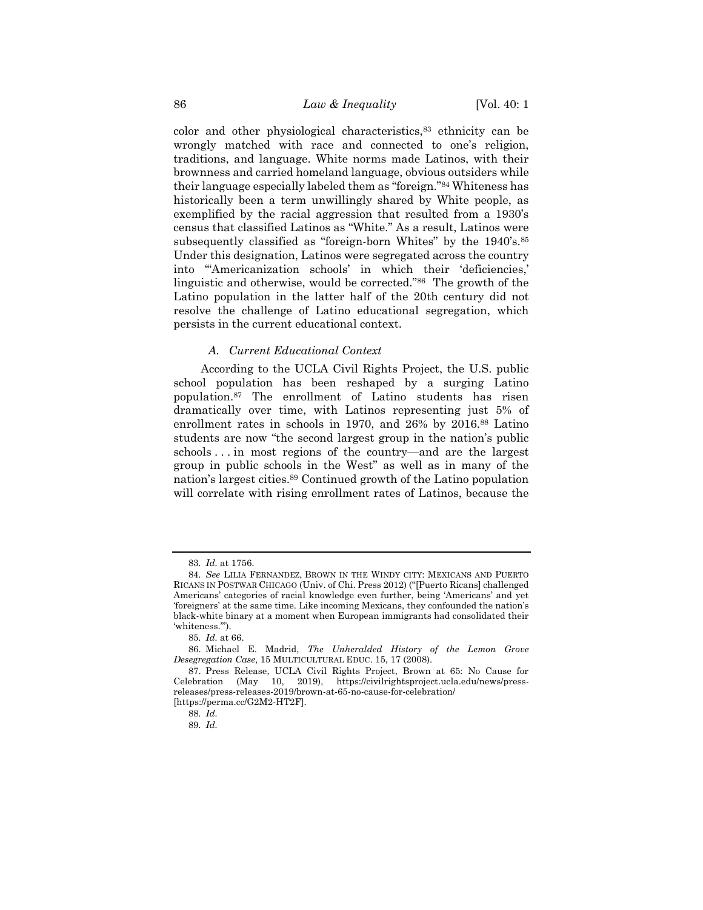color and other physiological characteristics,<sup>83</sup> ethnicity can be wrongly matched with race and connected to one's religion, traditions, and language. White norms made Latinos, with their brownness and carried homeland language, obvious outsiders while their language especially labeled them as "foreign."<sup>84</sup> Whiteness has historically been a term unwillingly shared by White people, as exemplified by the racial aggression that resulted from a 1930's census that classified Latinos as "White." As a result, Latinos were subsequently classified as "foreign-born Whites" by the 1940's.<sup>85</sup> Under this designation, Latinos were segregated across the country into "'Americanization schools' in which their 'deficiencies,' linguistic and otherwise, would be corrected."86 The growth of the Latino population in the latter half of the 20th century did not resolve the challenge of Latino educational segregation, which persists in the current educational context.

#### <span id="page-18-1"></span><span id="page-18-0"></span>*A. Current Educational Context*

According to the UCLA Civil Rights Project, the U.S. public school population has been reshaped by a surging Latino population.<sup>87</sup> The enrollment of Latino students has risen dramatically over time, with Latinos representing just 5% of enrollment rates in schools in 1970, and 26% by 2016.<sup>88</sup> Latino students are now "the second largest group in the nation's public schools . . . in most regions of the country—and are the largest group in public schools in the West" as well as in many of the nation's largest cities.<sup>89</sup> Continued growth of the Latino population will correlate with rising enrollment rates of Latinos, because the

<sup>83</sup>*. Id.* at 1756.

<sup>84</sup>*. See* LILIA FERNANDEZ, BROWN IN THE WINDY CITY: MEXICANS AND PUERTO RICANS IN POSTWAR CHICAGO (Univ. of Chi. Press 2012) ("[Puerto Ricans] challenged Americans' categories of racial knowledge even further, being 'Americans' and yet 'foreigners' at the same time. Like incoming Mexicans, they confounded the nation's black-white binary at a moment when European immigrants had consolidated their 'whiteness.'").

<sup>85</sup>*. Id.* at 66.

<sup>86.</sup> Michael E. Madrid, *The Unheralded History of the Lemon Grove Desegregation Case*, 15 MULTICULTURAL EDUC. 15, 17 (2008).

<sup>87.</sup> Press Release, UCLA Civil Rights Project, Brown at 65: No Cause for Celebration (May 10, 2019), https://civilrightsproject.ucla.edu/news/pressreleases/press-releases-2019/brown-at-65-no-cause-for-celebration/

<sup>[</sup>https://perma.cc/G2M2-HT2F].

<sup>88</sup>*. Id.*

<sup>89</sup>*. Id.*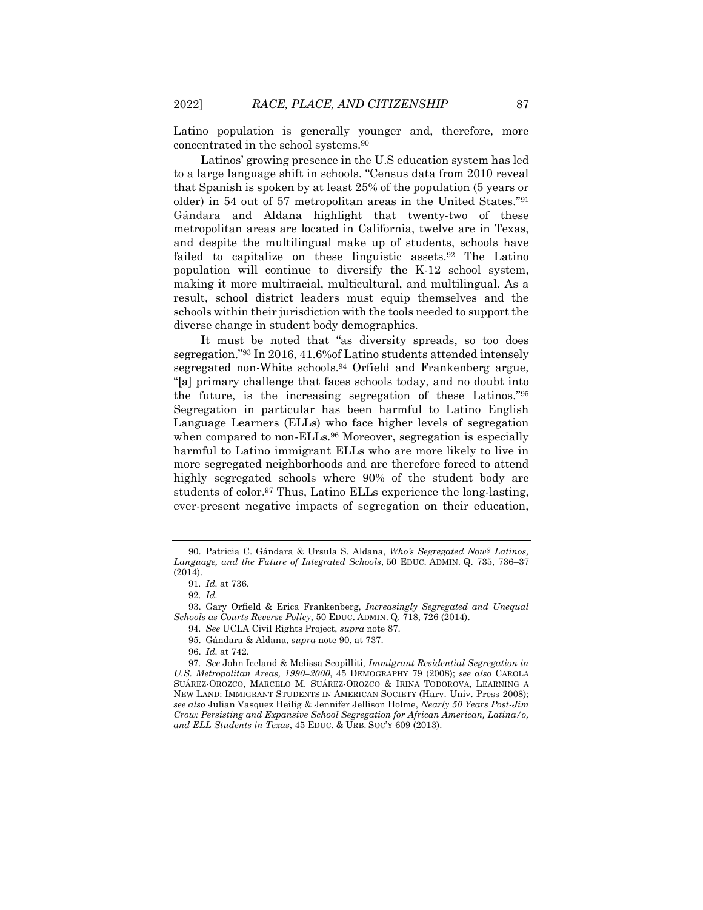<span id="page-19-0"></span>Latino population is generally younger and, therefore, more concentrated in the school systems.<sup>90</sup>

Latinos' growing presence in the U.S education system has led to a large language shift in schools. "Census data from 2010 reveal that Spanish is spoken by at least 25% of the population (5 years or older) in 54 out of 57 metropolitan areas in the United States."<sup>91</sup> Gándara and Aldana highlight that twenty-two of these metropolitan areas are located in California, twelve are in Texas, and despite the multilingual make up of students, schools have failed to capitalize on these linguistic assets.<sup>92</sup> The Latino population will continue to diversify the K-12 school system, making it more multiracial, multicultural, and multilingual. As a result, school district leaders must equip themselves and the schools within their jurisdiction with the tools needed to support the diverse change in student body demographics.

<span id="page-19-2"></span>It must be noted that "as diversity spreads, so too does segregation."<sup>93</sup> In 2016, 41.6%of Latino students attended intensely segregated non-White schools.<sup>94</sup> Orfield and Frankenberg argue, "[a] primary challenge that faces schools today, and no doubt into the future, is the increasing segregation of these Latinos." 95 Segregation in particular has been harmful to Latino English Language Learners (ELLs) who face higher levels of segregation when compared to non-ELLs.<sup>96</sup> Moreover, segregation is especially harmful to Latino immigrant ELLs who are more likely to live in more segregated neighborhoods and are therefore forced to attend highly segregated schools where 90% of the student body are students of color. <sup>97</sup> Thus, Latino ELLs experience the long-lasting, ever-present negative impacts of segregation on their education,

<span id="page-19-1"></span><sup>90.</sup> Patricia C. Gándara & Ursula S. Aldana, *Who's Segregated Now? Latinos, Language, and the Future of Integrated Schools*, 50 EDUC. ADMIN. Q. 735, 736–37 (2014).

<sup>91</sup>*. Id.* at 736.

<sup>92</sup>*. Id.*

<sup>93.</sup> Gary Orfield & Erica Frankenberg, *Increasingly Segregated and Unequal Schools as Courts Reverse Policy*, 50 EDUC. ADMIN. Q. 718, 726 (2014).

<sup>94</sup>*. See* UCLA Civil Rights Project, *supra* note [87.](#page-18-0)

<sup>95.</sup> Gándara & Aldana, *supra* not[e 90,](#page-19-0) at 737.

<sup>96.</sup> *Id.* at 742.

<sup>97</sup>*. See* John Iceland & Melissa Scopilliti, *Immigrant Residential Segregation in U.S. Metropolitan Areas, 1990–2000*, 45 DEMOGRAPHY 79 (2008); *see also* CAROLA SUÁREZ-OROZCO, MARCELO M. SUÁREZ-OROZCO & IRINA TODOROVA, LEARNING A NEW LAND: IMMIGRANT STUDENTS IN AMERICAN SOCIETY (Harv. Univ. Press 2008); *see also* Julian Vasquez Heilig & Jennifer Jellison Holme, *Nearly 50 Years Post-Jim Crow: Persisting and Expansive School Segregation for African American, Latina/o, and ELL Students in Texas*, 45 EDUC. & URB. SOC'Y 609 (2013).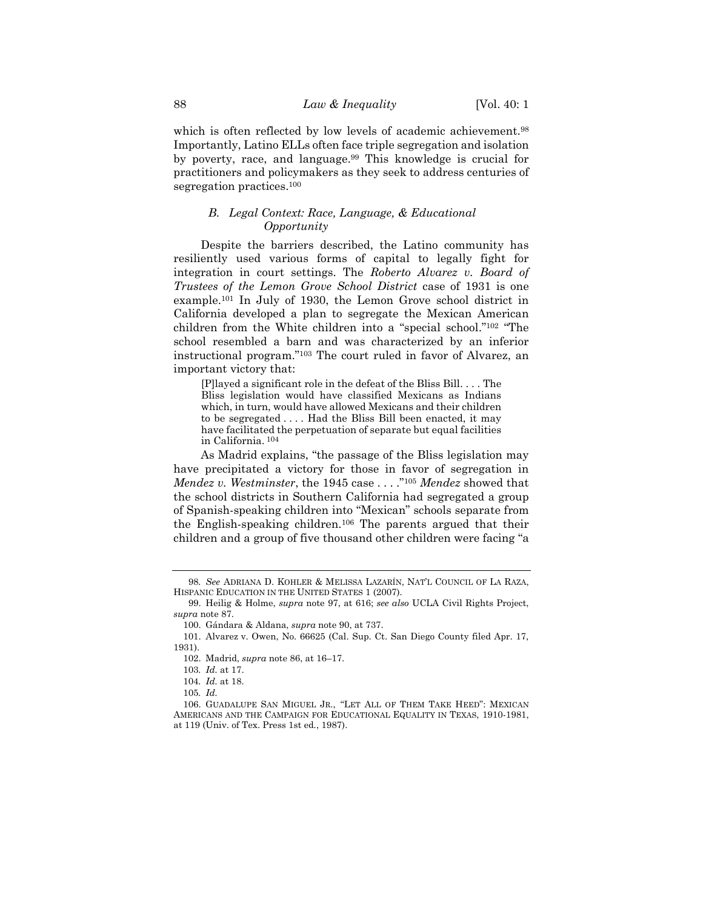which is often reflected by low levels of academic achievement.<sup>98</sup> Importantly, Latino ELLs often face triple segregation and isolation by poverty, race, and language.<sup>99</sup> This knowledge is crucial for practitioners and policymakers as they seek to address centuries of segregation practices.<sup>100</sup>

# <span id="page-20-1"></span>*B. Legal Context: Race, Language, & Educational Opportunity*

Despite the barriers described, the Latino community has resiliently used various forms of capital to legally fight for integration in court settings. The *Roberto Alvarez v. Board of Trustees of the Lemon Grove School District* case of 1931 is one example.<sup>101</sup> In July of 1930, the Lemon Grove school district in California developed a plan to segregate the Mexican American children from the White children into a "special school." <sup>102</sup> "The school resembled a barn and was characterized by an inferior instructional program."<sup>103</sup> The court ruled in favor of Alvarez, an important victory that:

[P]layed a significant role in the defeat of the Bliss Bill. . . . The Bliss legislation would have classified Mexicans as Indians which, in turn, would have allowed Mexicans and their children to be segregated . . . . Had the Bliss Bill been enacted, it may have facilitated the perpetuation of separate but equal facilities in California. <sup>104</sup>

As Madrid explains, "the passage of the Bliss legislation may have precipitated a victory for those in favor of segregation in *Mendez v. Westminster*, the 1945 case . . . ."<sup>105</sup> *Mendez* showed that the school districts in Southern California had segregated a group of Spanish-speaking children into "Mexican" schools separate from the English-speaking children.<sup>106</sup> The parents argued that their children and a group of five thousand other children were facing "a

<span id="page-20-0"></span><sup>98</sup>*. See* ADRIANA D. KOHLER & MELISSA LAZARÍN, NAT'L COUNCIL OF LA RAZA, HISPANIC EDUCATION IN THE UNITED STATES 1 (2007).

<sup>99.</sup> Heilig & Holme, *supra* note [97,](#page-19-1) at 616; *see also* UCLA Civil Rights Project, *supra* note [87.](#page-18-0)

<sup>100.</sup> Gándara & Aldana, *supra* not[e 90,](#page-19-0) at 737.

<sup>101.</sup> Alvarez v. Owen, No. 66625 (Cal. Sup. Ct. San Diego County filed Apr. 17, 1931).

<sup>102.</sup> Madrid, *supra* not[e 86,](#page-18-1) at 16–17.

<sup>103</sup>*. Id.* at 17.

<sup>104</sup>*. Id.* at 18.

<sup>105</sup>*. Id.*

<sup>106.</sup> GUADALUPE SAN MIGUEL JR., "LET ALL OF THEM TAKE HEED": MEXICAN AMERICANS AND THE CAMPAIGN FOR EDUCATIONAL EQUALITY IN TEXAS, 1910-1981, at 119 (Univ. of Tex. Press 1st ed*.*, 1987).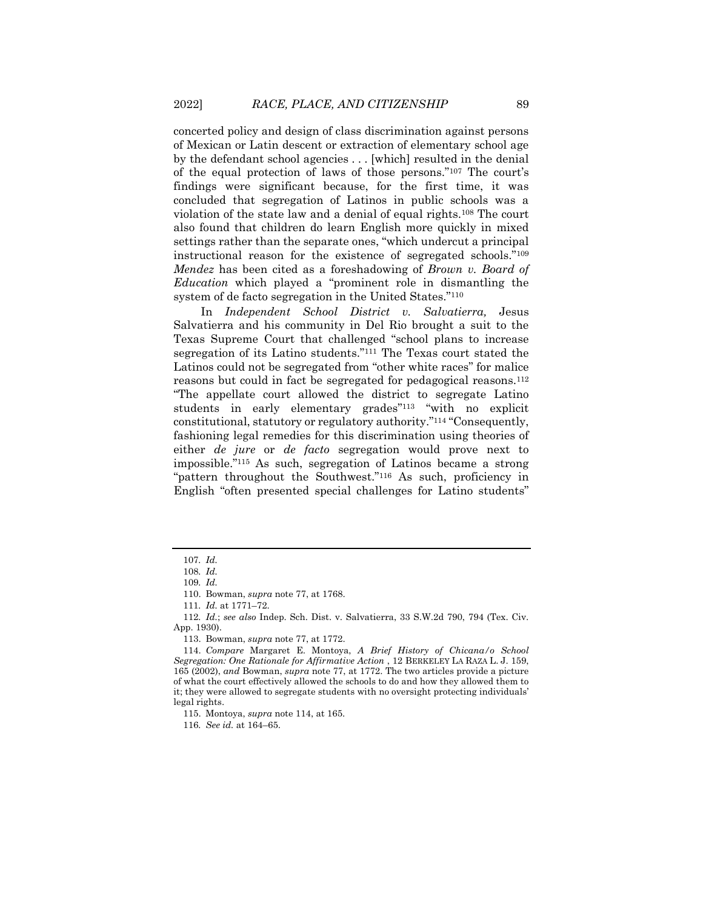concerted policy and design of class discrimination against persons of Mexican or Latin descent or extraction of elementary school age by the defendant school agencies . . . [which] resulted in the denial of the equal protection of laws of those persons."<sup>107</sup> The court's findings were significant because, for the first time, it was concluded that segregation of Latinos in public schools was a violation of the state law and a denial of equal rights.<sup>108</sup> The court also found that children do learn English more quickly in mixed settings rather than the separate ones, "which undercut a principal instructional reason for the existence of segregated schools."<sup>109</sup> *Mendez* has been cited as a foreshadowing of *Brown v. Board of Education* which played a "prominent role in dismantling the system of de facto segregation in the United States."<sup>110</sup>

<span id="page-21-0"></span>In *Independent School District v. Salvatierra,* Jesus Salvatierra and his community in Del Rio brought a suit to the Texas Supreme Court that challenged "school plans to increase segregation of its Latino students."<sup>111</sup> The Texas court stated the Latinos could not be segregated from "other white races" for malice reasons but could in fact be segregated for pedagogical reasons.<sup>112</sup> "The appellate court allowed the district to segregate Latino students in early elementary grades"<sup>113</sup> "with no explicit constitutional, statutory or regulatory authority."<sup>114</sup> "Consequently, fashioning legal remedies for this discrimination using theories of either *de jure* or *de facto* segregation would prove next to impossible."<sup>115</sup> As such, segregation of Latinos became a strong "pattern throughout the Southwest."<sup>116</sup> As such, proficiency in English "often presented special challenges for Latino students"

<sup>107</sup>*. Id.*

<sup>108</sup>*. Id.*

<sup>109</sup>*. Id.*

<sup>110.</sup> Bowman, *supra* not[e 77,](#page-17-1) at 1768.

<sup>111</sup>*. Id.* at 1771–72.

<sup>112</sup>*. Id.*; *see also* Indep. Sch. Dist. v. Salvatierra, 33 S.W.2d 790, 794 (Tex. Civ. App. 1930).

<sup>113.</sup> Bowman, *supra* not[e 77,](#page-17-1) at 1772.

<sup>114.</sup> *Compare* Margaret E. Montoya, *A Brief History of Chicana/o School Segregation: One Rationale for Affirmative Action* , 12 BERKELEY LA RAZA L. J. 159, 165 (2002), *and* Bowman, *supra* note [77,](#page-17-1) at 1772. The two articles provide a picture of what the court effectively allowed the schools to do and how they allowed them to it; they were allowed to segregate students with no oversight protecting individuals' legal rights.

<sup>115.</sup> Montoya, *supra* not[e 114,](#page-21-0) at 165.

<sup>116</sup>*. See id.* at 164–65.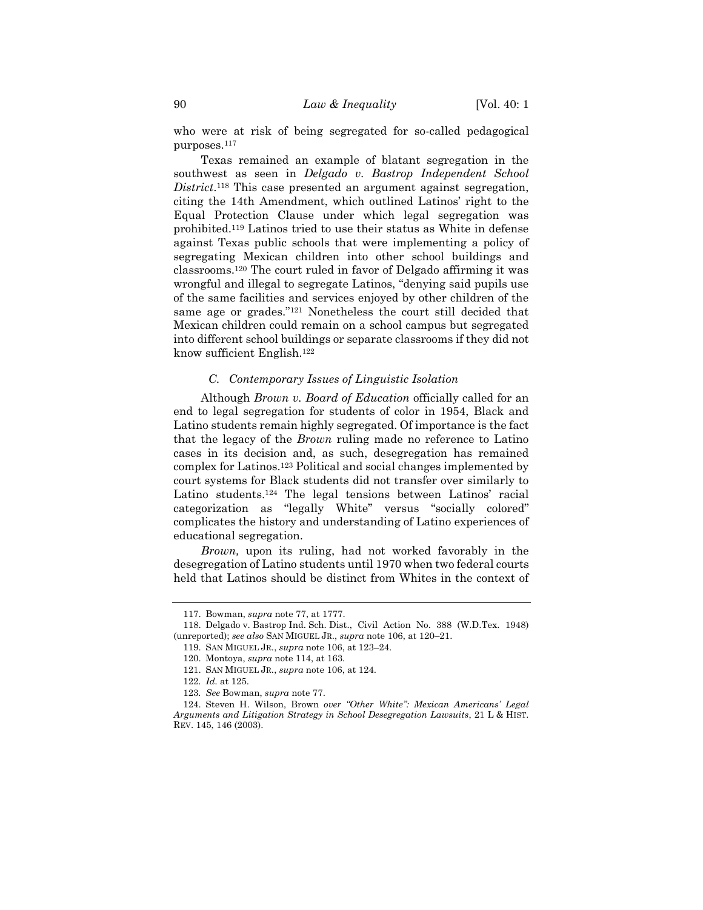who were at risk of being segregated for so-called pedagogical purposes.<sup>117</sup>

Texas remained an example of blatant segregation in the southwest as seen in *Delgado v. Bastrop Independent School District*. <sup>118</sup> This case presented an argument against segregation, citing the 14th Amendment, which outlined Latinos' right to the Equal Protection Clause under which legal segregation was prohibited.<sup>119</sup> Latinos tried to use their status as White in defense against Texas public schools that were implementing a policy of segregating Mexican children into other school buildings and classrooms.<sup>120</sup> The court ruled in favor of Delgado affirming it was wrongful and illegal to segregate Latinos, "denying said pupils use of the same facilities and services enjoyed by other children of the same age or grades."<sup>121</sup> Nonetheless the court still decided that Mexican children could remain on a school campus but segregated into different school buildings or separate classrooms if they did not know sufficient English.<sup>122</sup>

# *C. Contemporary Issues of Linguistic Isolation*

Although *Brown v. Board of Education* officially called for an end to legal segregation for students of color in 1954, Black and Latino students remain highly segregated. Of importance is the fact that the legacy of the *Brown* ruling made no reference to Latino cases in its decision and, as such, desegregation has remained complex for Latinos.<sup>123</sup> Political and social changes implemented by court systems for Black students did not transfer over similarly to Latino students.<sup>124</sup> The legal tensions between Latinos' racial categorization as "legally White" versus "socially colored" complicates the history and understanding of Latino experiences of educational segregation.

*Brown,* upon its ruling, had not worked favorably in the desegregation of Latino students until 1970 when two federal courts held that Latinos should be distinct from Whites in the context of

<sup>117.</sup> Bowman, *supra* not[e 77,](#page-17-1) at 1777.

<sup>118.</sup> Delgado v. Bastrop Ind. Sch. Dist., Civil Action No. 388 (W.D.Tex. 1948) (unreported); *see also* SAN MIGUEL JR., *supra* not[e 106,](#page-20-0) at 120–21.

<sup>119.</sup> SAN MIGUEL JR., *supra* note [106,](#page-20-0) at 123–24.

<sup>120.</sup> Montoya, *supra* not[e 114,](#page-21-0) at 163.

<sup>121.</sup> SAN MIGUEL JR., *supra* note [106,](#page-20-0) at 124.

<sup>122</sup>*. Id.* at 125.

<sup>123</sup>*. See* Bowman, *supra* not[e 77.](#page-17-1)

<sup>124.</sup> Steven H. Wilson, Brown *over "Other White": Mexican Americans' Legal Arguments and Litigation Strategy in School Desegregation Lawsuits*, 21 L & HIST. REV. 145, 146 (2003).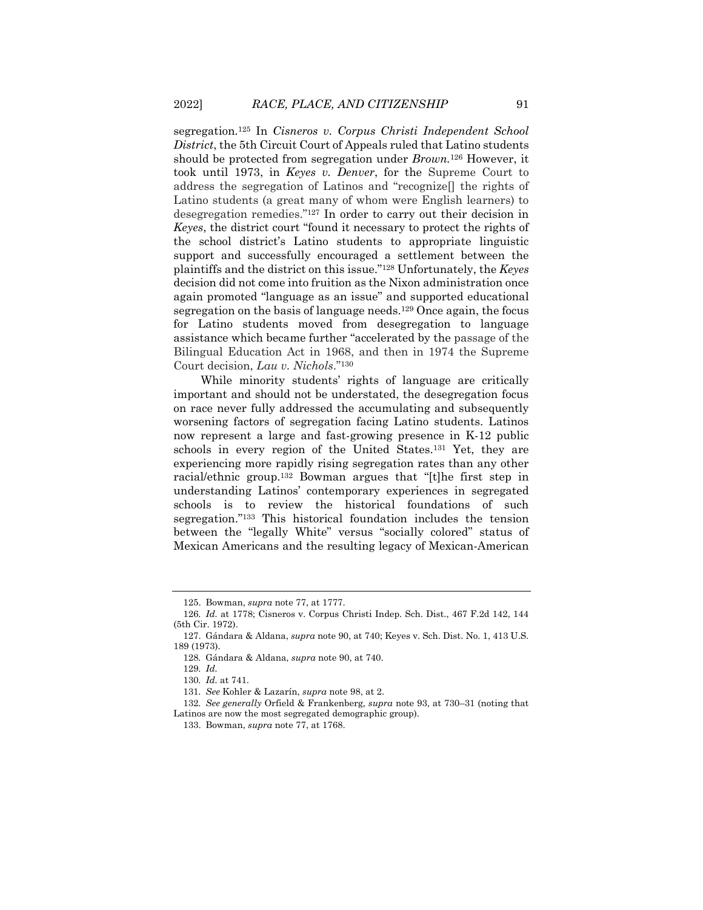segregation*.* <sup>125</sup> In *Cisneros v. Corpus Christi Independent School District*, the 5th Circuit Court of Appeals ruled that Latino students should be protected from segregation under *Brown.*<sup>126</sup> However, it took until 1973, in *Keyes v. Denver*, for the Supreme Court to address the segregation of Latinos and "recognize[] the rights of Latino students (a great many of whom were English learners) to desegregation remedies."<sup>127</sup> In order to carry out their decision in *Keyes*, the district court "found it necessary to protect the rights of the school district's Latino students to appropriate linguistic support and successfully encouraged a settlement between the plaintiffs and the district on this issue."<sup>128</sup> Unfortunately, the *Keyes* decision did not come into fruition as the Nixon administration once again promoted "language as an issue" and supported educational segregation on the basis of language needs.<sup>129</sup> Once again, the focus for Latino students moved from desegregation to language assistance which became further "accelerated by the passage of the Bilingual Education Act in 1968, and then in 1974 the Supreme Court decision, *Lau v. Nichols*."<sup>130</sup>

While minority students' rights of language are critically important and should not be understated, the desegregation focus on race never fully addressed the accumulating and subsequently worsening factors of segregation facing Latino students. Latinos now represent a large and fast-growing presence in K-12 public schools in every region of the United States.<sup>131</sup> Yet, they are experiencing more rapidly rising segregation rates than any other racial/ethnic group.<sup>132</sup> Bowman argues that "[t]he first step in understanding Latinos' contemporary experiences in segregated schools is to review the historical foundations of such segregation."<sup>133</sup> This historical foundation includes the tension between the "legally White" versus "socially colored" status of Mexican Americans and the resulting legacy of Mexican-American

<sup>125.</sup> Bowman, *supra* not[e 77,](#page-17-1) at 1777.

<sup>126</sup>*. Id.* at 1778; Cisneros v. Corpus Christi Indep. Sch. Dist., 467 F.2d 142, 144 (5th Cir. 1972).

<sup>127.</sup> Gándara & Aldana, *supra* note [90,](#page-19-0) at 740; Keyes v. Sch. Dist. No. 1, 413 U.S. 189 (1973).

<sup>128</sup>*.* Gándara & Aldana, *supra* not[e 90,](#page-19-0) at 740.

<sup>129</sup>*. Id.*

<sup>130</sup>*. Id.* at 741.

<sup>131</sup>*. See* Kohler & Lazarín, *supra* note [98,](#page-20-1) at 2.

<sup>132</sup>*. See generally* Orfield & Frankenberg*, supra* note [93,](#page-19-2) at 730–31 (noting that Latinos are now the most segregated demographic group).

<sup>133.</sup> Bowman, *supra* not[e 77,](#page-17-1) at 1768.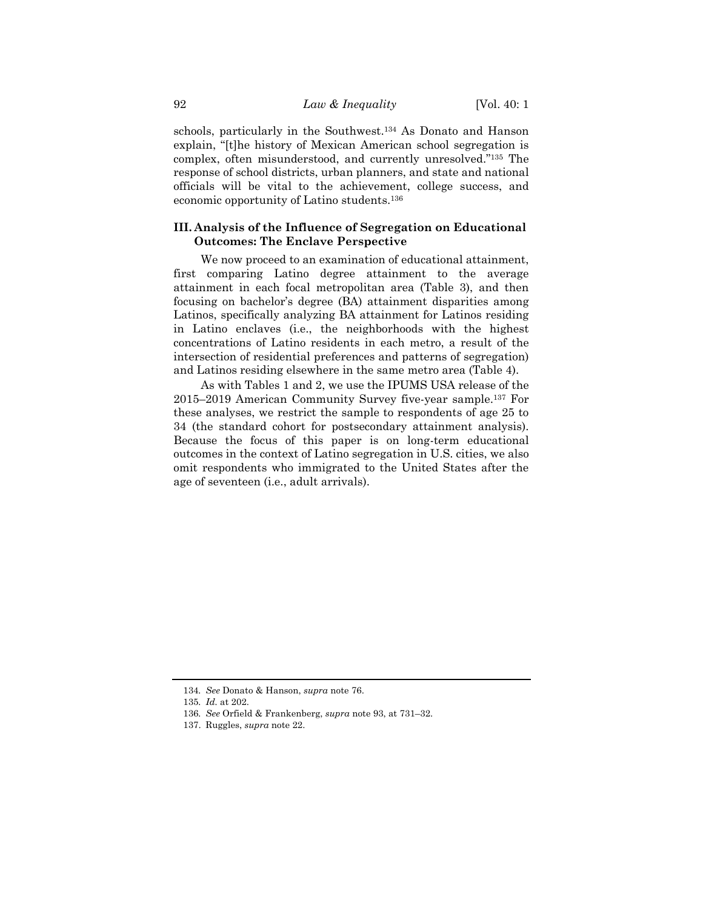schools, particularly in the Southwest. <sup>134</sup> As Donato and Hanson explain, "[t]he history of Mexican American school segregation is complex, often misunderstood, and currently unresolved."<sup>135</sup> The response of school districts, urban planners, and state and national officials will be vital to the achievement, college success, and economic opportunity of Latino students.<sup>136</sup>

# **III. Analysis of the Influence of Segregation on Educational Outcomes: The Enclave Perspective**

We now proceed to an examination of educational attainment, first comparing Latino degree attainment to the average attainment in each focal metropolitan area (Table 3), and then focusing on bachelor's degree (BA) attainment disparities among Latinos, specifically analyzing BA attainment for Latinos residing in Latino enclaves (i.e., the neighborhoods with the highest concentrations of Latino residents in each metro, a result of the intersection of residential preferences and patterns of segregation) and Latinos residing elsewhere in the same metro area (Table 4).

As with Tables 1 and 2, we use the IPUMS USA release of the 2015–2019 American Community Survey five-year sample.<sup>137</sup> For these analyses, we restrict the sample to respondents of age 25 to 34 (the standard cohort for postsecondary attainment analysis). Because the focus of this paper is on long-term educational outcomes in the context of Latino segregation in U.S. cities, we also omit respondents who immigrated to the United States after the age of seventeen (i.e., adult arrivals).

<sup>134</sup>*. See* Donato & Hanson, *supra* note [76.](#page-17-0)

<sup>135</sup>*. Id.* at 202.

<sup>136</sup>*. See* Orfield & Frankenberg, *supra* note [93,](#page-19-2) at 731–32.

<sup>137.</sup> Ruggles, *supra* not[e 22.](#page-5-0)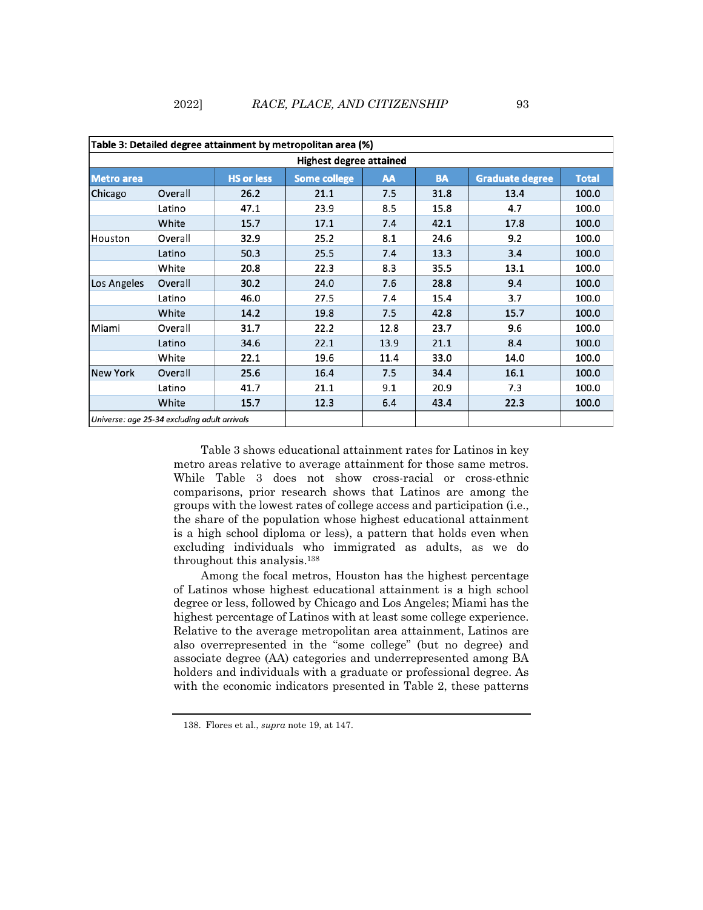# 2022] *RACE, PLACE, AND CITIZENSHIP* 93

| Table 3: Detailed degree attainment by metropolitan area (%) |         |                   |                     |      |           |                        |              |  |
|--------------------------------------------------------------|---------|-------------------|---------------------|------|-----------|------------------------|--------------|--|
| Highest degree attained                                      |         |                   |                     |      |           |                        |              |  |
| <b>Metro area</b>                                            |         | <b>HS or less</b> | <b>Some college</b> | AA   | <b>BA</b> | <b>Graduate degree</b> | <b>Total</b> |  |
| Chicago                                                      | Overall | 26.2              | 21.1                | 7.5  | 31.8      | 13.4                   | 100.0        |  |
|                                                              | Latino  | 47.1              | 23.9                | 8.5  | 15.8      | 4.7                    | 100.0        |  |
|                                                              | White   | 15.7              | 17.1                | 7.4  | 42.1      | 17.8                   | 100.0        |  |
| Houston                                                      | Overall | 32.9              | 25.2                | 8.1  | 24.6      | 9.2                    | 100.0        |  |
|                                                              | Latino  | 50.3              | 25.5                | 7.4  | 13.3      | 3.4                    | 100.0        |  |
|                                                              | White   | 20.8              | 22.3                | 8.3  | 35.5      | 13.1                   | 100.0        |  |
| Los Angeles                                                  | Overall | 30.2              | 24.0                | 7.6  | 28.8      | 9.4                    | 100.0        |  |
|                                                              | Latino  | 46.0              | 27.5                | 7.4  | 15.4      | 3.7                    | 100.0        |  |
|                                                              | White   | 14.2              | 19.8                | 7.5  | 42.8      | 15.7                   | 100.0        |  |
| Miami                                                        | Overall | 31.7              | 22.2                | 12.8 | 23.7      | 9.6                    | 100.0        |  |
|                                                              | Latino  | 34.6              | 22.1                | 13.9 | 21.1      | 8.4                    | 100.0        |  |
|                                                              | White   | 22.1              | 19.6                | 11.4 | 33.0      | 14.0                   | 100.0        |  |
| <b>New York</b>                                              | Overall | 25.6              | 16.4                | 7.5  | 34.4      | 16.1                   | 100.0        |  |
|                                                              | Latino  | 41.7              | 21.1                | 9.1  | 20.9      | 7.3                    | 100.0        |  |
|                                                              | White   | 15.7              | 12.3                | 6.4  | 43.4      | 22.3                   | 100.0        |  |
| Universe: age 25-34 excluding adult arrivals                 |         |                   |                     |      |           |                        |              |  |

Table 3 shows educational attainment rates for Latinos in key metro areas relative to average attainment for those same metros. While Table 3 does not show cross-racial or cross-ethnic comparisons, prior research shows that Latinos are among the groups with the lowest rates of college access and participation (i.e., the share of the population whose highest educational attainment is a high school diploma or less), a pattern that holds even when excluding individuals who immigrated as adults, as we do throughout this analysis.<sup>138</sup>

Among the focal metros, Houston has the highest percentage of Latinos whose highest educational attainment is a high school degree or less, followed by Chicago and Los Angeles; Miami has the highest percentage of Latinos with at least some college experience. Relative to the average metropolitan area attainment, Latinos are also overrepresented in the "some college" (but no degree) and associate degree (AA) categories and underrepresented among BA holders and individuals with a graduate or professional degree. As with the economic indicators presented in Table 2, these patterns

<sup>138.</sup> Flores et al., *supra* note [19,](#page-4-1) at 147.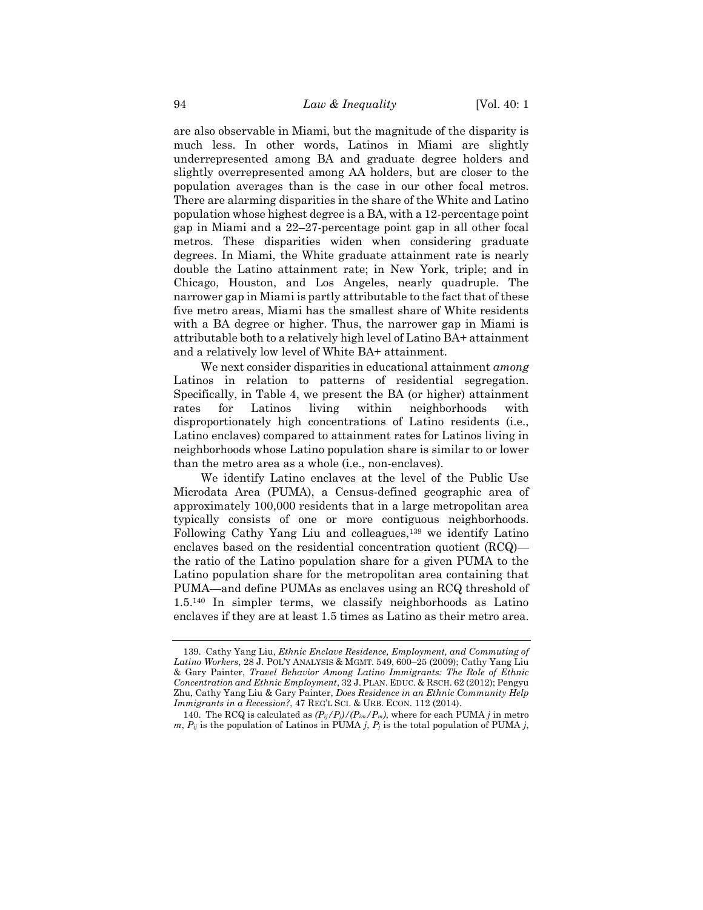are also observable in Miami, but the magnitude of the disparity is much less. In other words, Latinos in Miami are slightly underrepresented among BA and graduate degree holders and slightly overrepresented among AA holders, but are closer to the population averages than is the case in our other focal metros. There are alarming disparities in the share of the White and Latino population whose highest degree is a BA, with a 12-percentage point gap in Miami and a 22–27-percentage point gap in all other focal metros. These disparities widen when considering graduate degrees. In Miami, the White graduate attainment rate is nearly double the Latino attainment rate; in New York, triple; and in Chicago, Houston, and Los Angeles, nearly quadruple. The narrower gap in Miami is partly attributable to the fact that of these five metro areas, Miami has the smallest share of White residents with a BA degree or higher. Thus, the narrower gap in Miami is attributable both to a relatively high level of Latino BA+ attainment and a relatively low level of White BA+ attainment.

We next consider disparities in educational attainment *among* Latinos in relation to patterns of residential segregation. Specifically, in Table 4, we present the BA (or higher) attainment rates for Latinos living within neighborhoods with disproportionately high concentrations of Latino residents (i.e., Latino enclaves) compared to attainment rates for Latinos living in neighborhoods whose Latino population share is similar to or lower than the metro area as a whole (i.e., non-enclaves).

We identify Latino enclaves at the level of the Public Use Microdata Area (PUMA), a Census-defined geographic area of approximately 100,000 residents that in a large metropolitan area typically consists of one or more contiguous neighborhoods. Following Cathy Yang Liu and colleagues,<sup>139</sup> we identify Latino enclaves based on the residential concentration quotient (RCQ) the ratio of the Latino population share for a given PUMA to the Latino population share for the metropolitan area containing that PUMA—and define PUMAs as enclaves using an RCQ threshold of 1.5.<sup>140</sup> In simpler terms, we classify neighborhoods as Latino enclaves if they are at least 1.5 times as Latino as their metro area.

<sup>139.</sup> Cathy Yang Liu, *Ethnic Enclave Residence, Employment, and Commuting of Latino Workers*, 28 J. POL'Y ANALYSIS & MGMT. 549, 600–25 (2009); Cathy Yang Liu & Gary Painter, *Travel Behavior Among Latino Immigrants: The Role of Ethnic Concentration and Ethnic Employment*, 32 J.PLAN. EDUC. & RSCH. 62 (2012); Pengyu Zhu, Cathy Yang Liu & Gary Painter, *Does Residence in an Ethnic Community Help Immigrants in a Recession?*, 47 REG'L SCI. & URB. ECON. 112 (2014).

<sup>140.</sup> The RCQ is calculated as  $(P_{ij}/P_j)/(P_{im}/P_m)$ , where for each PUMA *j* in metro  $m, P_{ii}$  is the population of Latinos in PUMA *j*,  $P_i$  is the total population of PUMA *j*,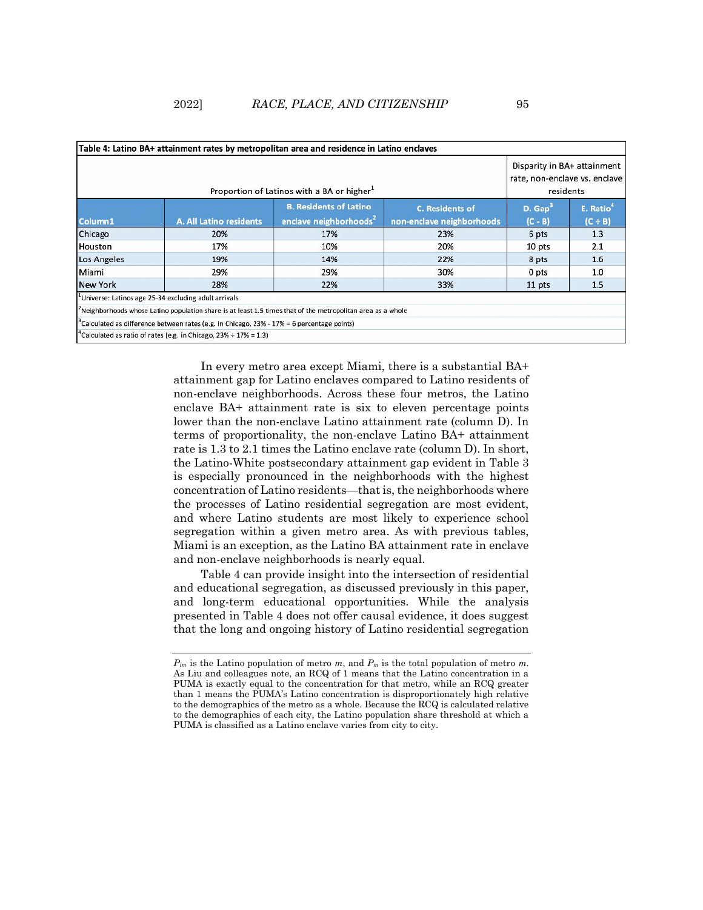|                 | Disparity in BA+ attainment<br>rate, non-enclave vs. enclave<br>residents                                  |                                                                     |                                                     |                     |                                    |
|-----------------|------------------------------------------------------------------------------------------------------------|---------------------------------------------------------------------|-----------------------------------------------------|---------------------|------------------------------------|
| Column1         | <b>A. All Latino residents</b>                                                                             | <b>B. Residents of Latino</b><br>enclave neighborhoods <sup>2</sup> | <b>C. Residents of</b><br>non-enclave neighborhoods | D. Gap<br>$(C - B)$ | E. Ratio <sup>®</sup><br>$(C + B)$ |
| Chicago         | 20%                                                                                                        | 17%                                                                 | 23%                                                 | 6 pts               | 1.3                                |
| Houston         | 17%                                                                                                        | 10%                                                                 | 20%                                                 | 10 pts              | 2.1                                |
| Los Angeles     | 19%                                                                                                        | 14%                                                                 | 22%                                                 | 8 pts               | 1.6                                |
| Miami           | 29%                                                                                                        | 29%                                                                 | 30%                                                 | 0 pts               | 1.0                                |
| <b>New York</b> | 28%                                                                                                        | 22%                                                                 | 33%                                                 | 11 pts              | 1.5                                |
|                 | Universe: Latinos age 25-34 excluding adult arrivals                                                       |                                                                     |                                                     |                     |                                    |
|                 | Neighborhoods whose Latino population share is at least 1.5 times that of the metropolitan area as a whole |                                                                     |                                                     |                     |                                    |
|                 | Calculated as difference between rates (e.g. in Chicago, 23% - 17% = 6 percentage points)                  |                                                                     |                                                     |                     |                                    |
|                 | <sup>4</sup> Calculated as ratio of rates (e.g. in Chicago, $23\% \div 17\% = 1.3$ )                       |                                                                     |                                                     |                     |                                    |

In every metro area except Miami, there is a substantial BA+ attainment gap for Latino enclaves compared to Latino residents of non-enclave neighborhoods. Across these four metros, the Latino enclave BA+ attainment rate is six to eleven percentage points lower than the non-enclave Latino attainment rate (column D). In terms of proportionality, the non-enclave Latino BA+ attainment rate is 1.3 to 2.1 times the Latino enclave rate (column D). In short, the Latino-White postsecondary attainment gap evident in Table 3 is especially pronounced in the neighborhoods with the highest concentration of Latino residents—that is, the neighborhoods where the processes of Latino residential segregation are most evident, and where Latino students are most likely to experience school segregation within a given metro area. As with previous tables, Miami is an exception, as the Latino BA attainment rate in enclave and non-enclave neighborhoods is nearly equal.

Table 4 can provide insight into the intersection of residential and educational segregation, as discussed previously in this paper, and long-term educational opportunities. While the analysis presented in Table 4 does not offer causal evidence, it does suggest that the long and ongoing history of Latino residential segregation

*Pim* is the Latino population of metro *m*, and *P<sup>m</sup>* is the total population of metro *m*. As Liu and colleagues note, an RCQ of 1 means that the Latino concentration in a PUMA is exactly equal to the concentration for that metro, while an RCQ greater than 1 means the PUMA's Latino concentration is disproportionately high relative to the demographics of the metro as a whole. Because the RCQ is calculated relative to the demographics of each city, the Latino population share threshold at which a PUMA is classified as a Latino enclave varies from city to city.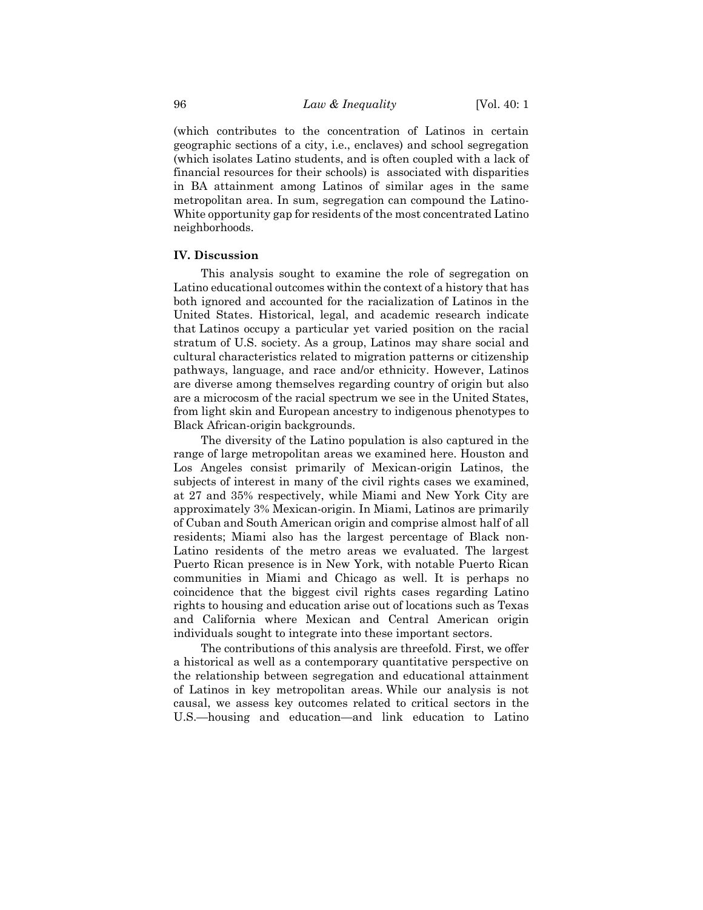(which contributes to the concentration of Latinos in certain geographic sections of a city, i.e., enclaves) and school segregation (which isolates Latino students, and is often coupled with a lack of financial resources for their schools) is associated with disparities in BA attainment among Latinos of similar ages in the same metropolitan area. In sum, segregation can compound the Latino-White opportunity gap for residents of the most concentrated Latino neighborhoods.

#### **IV. Discussion**

This analysis sought to examine the role of segregation on Latino educational outcomes within the context of a history that has both ignored and accounted for the racialization of Latinos in the United States. Historical, legal, and academic research indicate that Latinos occupy a particular yet varied position on the racial stratum of U.S. society. As a group, Latinos may share social and cultural characteristics related to migration patterns or citizenship pathways, language, and race and/or ethnicity. However, Latinos are diverse among themselves regarding country of origin but also are a microcosm of the racial spectrum we see in the United States, from light skin and European ancestry to indigenous phenotypes to Black African-origin backgrounds.

The diversity of the Latino population is also captured in the range of large metropolitan areas we examined here. Houston and Los Angeles consist primarily of Mexican-origin Latinos, the subjects of interest in many of the civil rights cases we examined, at 27 and 35% respectively, while Miami and New York City are approximately 3% Mexican-origin. In Miami, Latinos are primarily of Cuban and South American origin and comprise almost half of all residents; Miami also has the largest percentage of Black non-Latino residents of the metro areas we evaluated. The largest Puerto Rican presence is in New York, with notable Puerto Rican communities in Miami and Chicago as well. It is perhaps no coincidence that the biggest civil rights cases regarding Latino rights to housing and education arise out of locations such as Texas and California where Mexican and Central American origin individuals sought to integrate into these important sectors.

The contributions of this analysis are threefold. First, we offer a historical as well as a contemporary quantitative perspective on the relationship between segregation and educational attainment of Latinos in key metropolitan areas. While our analysis is not causal, we assess key outcomes related to critical sectors in the U.S.—housing and education—and link education to Latino